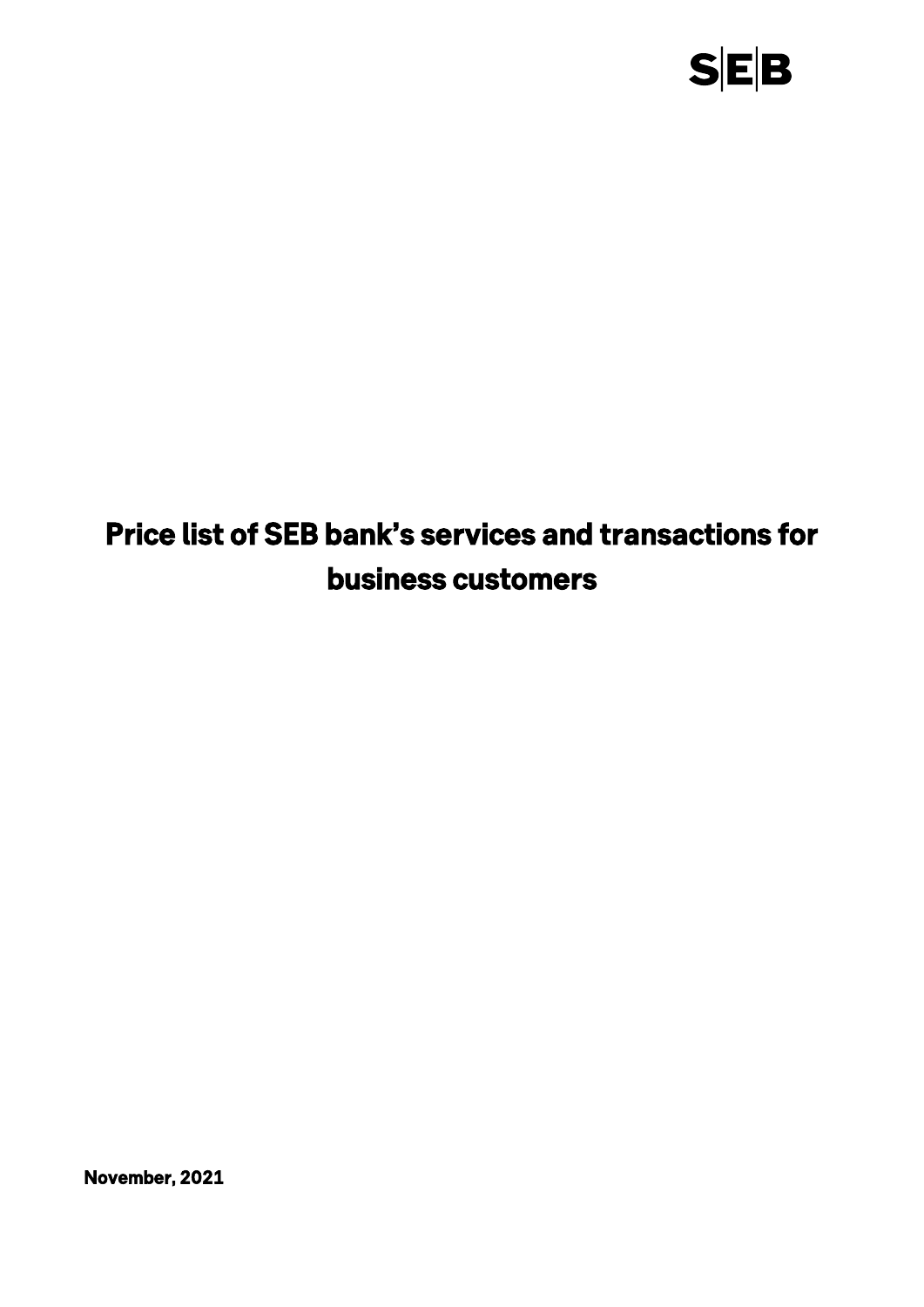

# *Price list of SEB bank's services and transactions for business customers*

*November, 2021*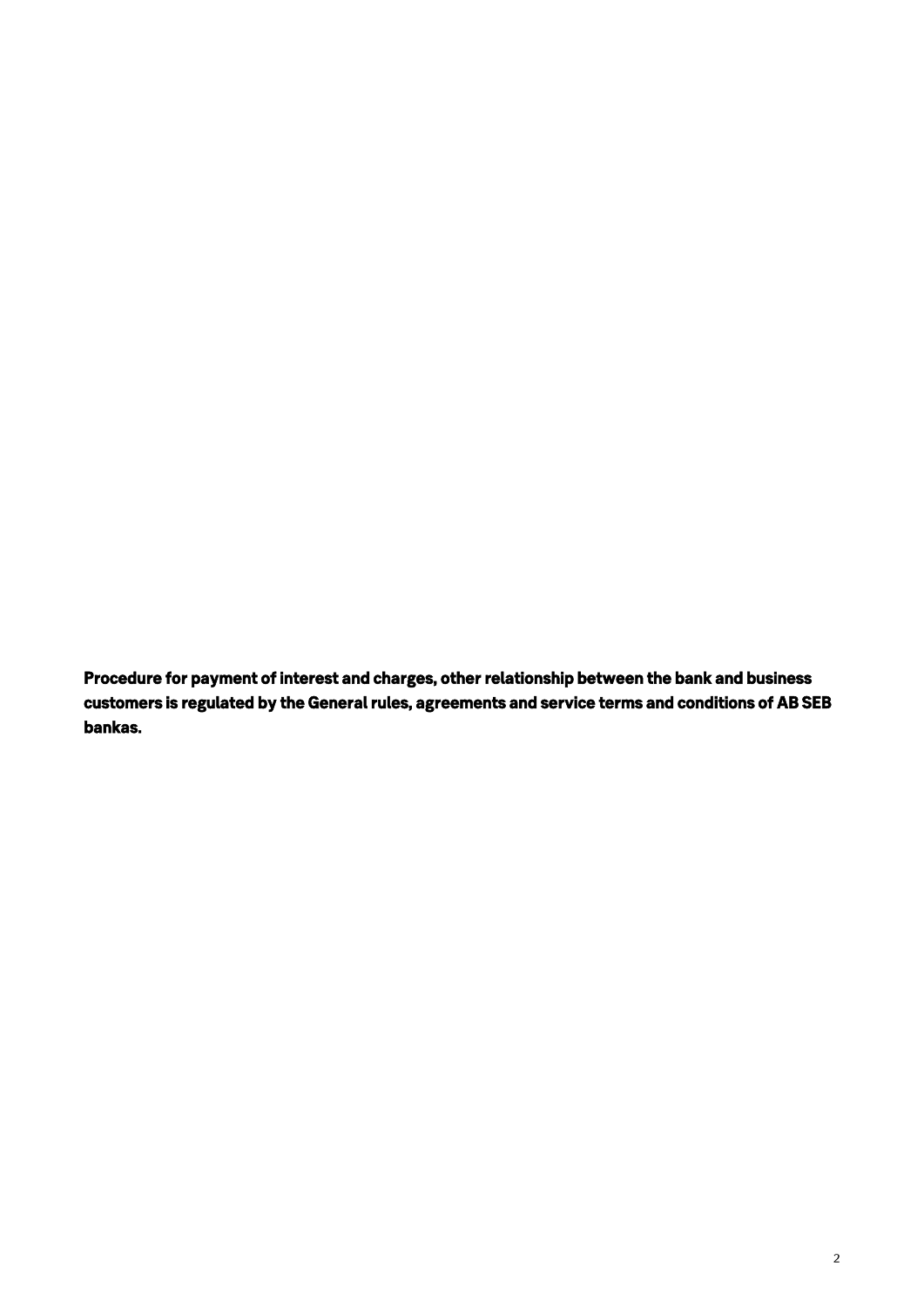*Procedure for payment of interest and charges, other relationship between the bank and business customers is regulated by the General rules, agreements and service terms and conditions of AB SEB bankas.*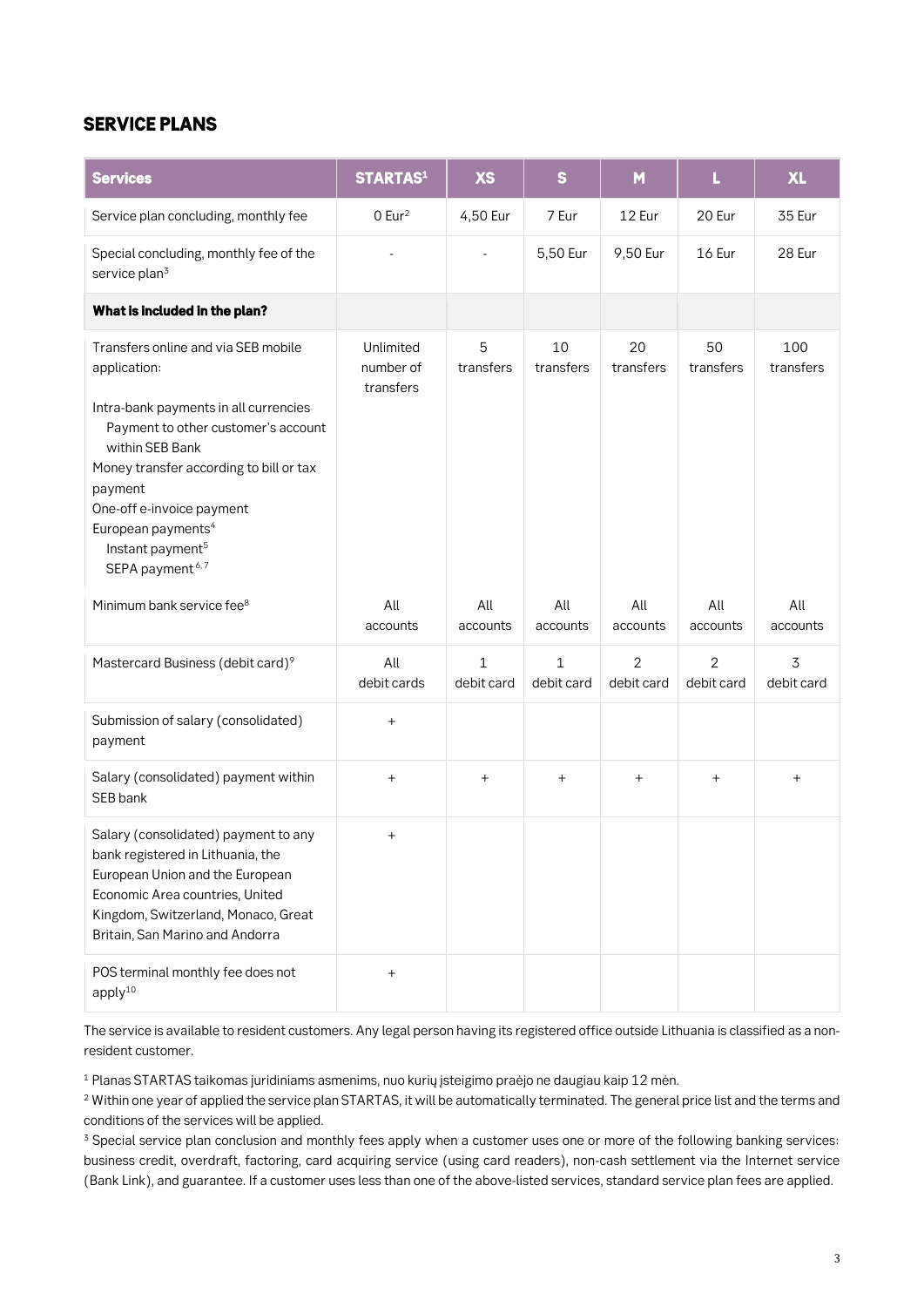### *SERVICE PLANS*

| <b>Services</b>                                                                                                                                                                                                                                                                                                                            | <b>STARTAS1</b>                     | <b>XS</b>                  | $\mathbf{s}$    | M                            | L                                | <b>XL</b>                    |
|--------------------------------------------------------------------------------------------------------------------------------------------------------------------------------------------------------------------------------------------------------------------------------------------------------------------------------------------|-------------------------------------|----------------------------|-----------------|------------------------------|----------------------------------|------------------------------|
| Service plan concluding, monthly fee                                                                                                                                                                                                                                                                                                       | $0$ Eur <sup>2</sup>                | 4,50 Eur                   | 7 Eur           | 12 Eur                       | 20 Eur                           | 35 Eur                       |
| Special concluding, monthly fee of the<br>service plan <sup>3</sup>                                                                                                                                                                                                                                                                        |                                     |                            | 5,50 Eur        | 9,50 Eur                     | 16 Eur                           | 28 Eur                       |
| What is included in the plan?                                                                                                                                                                                                                                                                                                              |                                     |                            |                 |                              |                                  |                              |
| Transfers online and via SEB mobile<br>application:<br>Intra-bank payments in all currencies<br>Payment to other customer's account<br>within SEB Bank<br>Money transfer according to bill or tax<br>payment<br>One-off e-invoice payment<br>European payments <sup>4</sup><br>Instant payment <sup>5</sup><br>SEPA payment <sup>6,7</sup> | Unlimited<br>number of<br>transfers | 5<br>transfers             | 10<br>transfers | 20<br>transfers              | 50<br>transfers                  | 100<br>transfers             |
| Minimum bank service fee <sup>8</sup>                                                                                                                                                                                                                                                                                                      | All<br>accounts                     | All<br>accounts            | All<br>accounts | All<br>accounts              | All<br>accounts                  | All<br>accounts              |
| Mastercard Business (debit card) <sup>9</sup>                                                                                                                                                                                                                                                                                              | All<br>debit cards                  | $\mathbf{1}$<br>debit card | 1<br>debit card | $\overline{2}$<br>debit card | $\overline{2}$<br>debit card     | $\overline{3}$<br>debit card |
| Submission of salary (consolidated)<br>payment                                                                                                                                                                                                                                                                                             | $^{+}$                              |                            |                 |                              |                                  |                              |
| Salary (consolidated) payment within<br>SEB bank                                                                                                                                                                                                                                                                                           | $\ddot{}$                           | $\ddot{}$                  | $^{+}$          | $\overline{+}$               | $\begin{array}{c} + \end{array}$ | $\ddot{}$                    |
| Salary (consolidated) payment to any<br>bank registered in Lithuania, the<br>European Union and the European<br>Economic Area countries, United<br>Kingdom, Switzerland, Monaco, Great<br>Britain, San Marino and Andorra                                                                                                                  | $^{+}$                              |                            |                 |                              |                                  |                              |
| POS terminal monthly fee does not<br>apply $10$                                                                                                                                                                                                                                                                                            | $\ddot{}$                           |                            |                 |                              |                                  |                              |

**The service is available to resident customers. Any legal person having its registered office outside Lithuania is classified as a nonresident customer.**

**<sup>1</sup> Planas STARTAS taikomas juridiniams asmenims, nuo kurių įsteigimo praėjo ne daugiau kaip 12 mėn.**

**<sup>2</sup> Within one year of applied the service plan STARTAS, it will be automatically terminated. The general price list and the terms and conditions of the services will be applied.**

**<sup>3</sup> Special service plan conclusion and monthly fees apply when a customer uses one or more of the following banking services: business credit, overdraft, factoring, card acquiring service (using card readers), non-cash settlement via the Internet service (Bank Link), and guarantee. If a customer uses less than one of the above-listed services, standard service plan fees are applied.**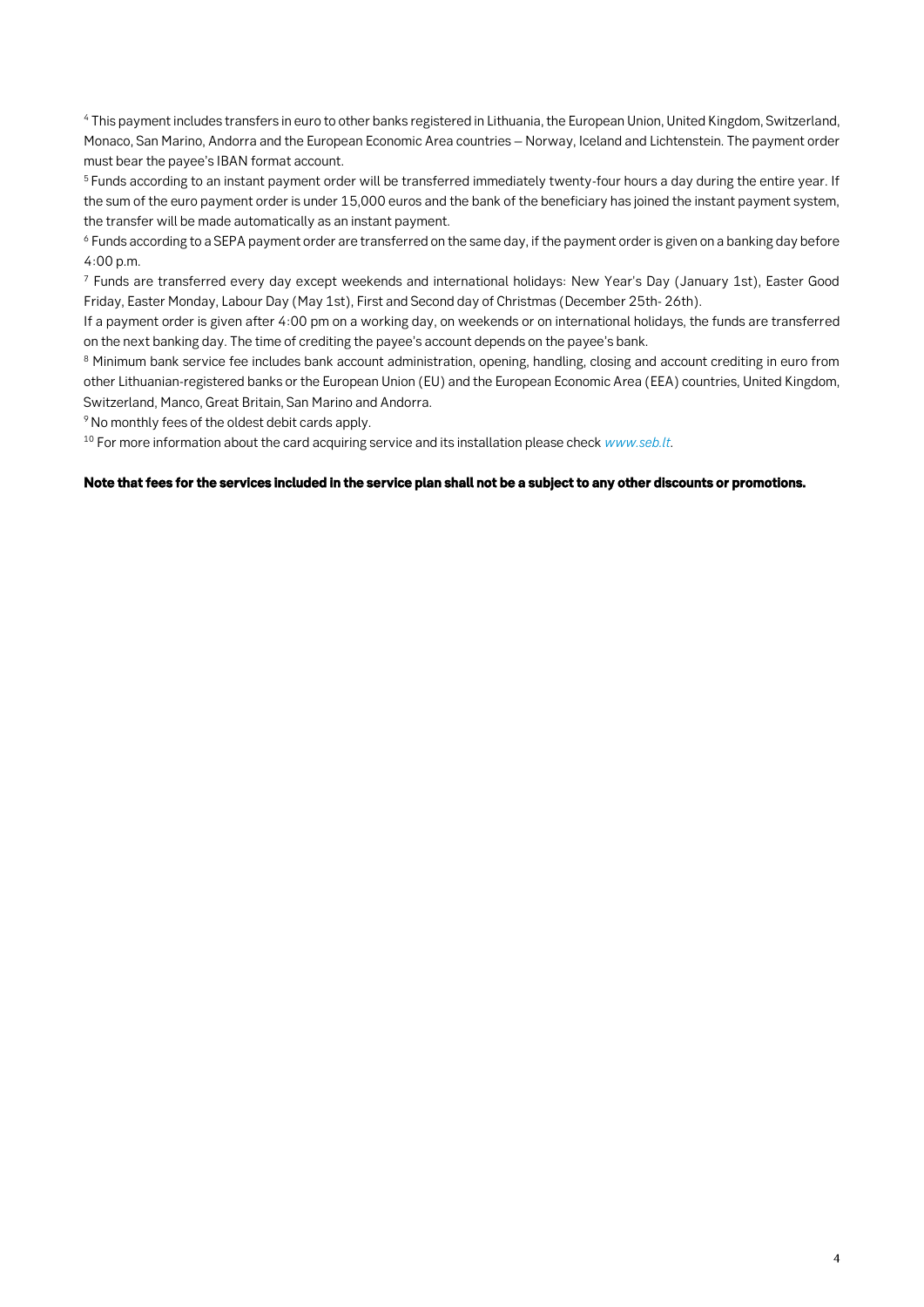**<sup>4</sup> This payment includes transfers in euro to other banks registered in Lithuania, the European Union, United Kingdom, Switzerland, Monaco, San Marino, Andorra and the European Economic Area countries – Norway, Iceland and Lichtenstein. The payment order must bear the payee's IBAN format account.**

**<sup>5</sup>Funds according to an instant payment order will be transferred immediately twenty-four hours a day during the entire year. If the sum of the euro payment order is under 15,000 euros and the bank of the beneficiary has joined the instant payment system, the transfer will be made automatically as an instant payment.**

**<sup>6</sup> Funds according to a SEPA payment order are transferred on the same day, if the payment order is given on a banking day before 4:00 p.m.**

**<sup>7</sup> Funds are transferred every day except weekends and international holidays: New Year's Day (January 1st), Easter Good Friday, Easter Monday, Labour Day (May 1st), First and Second day of Christmas (December 25th- 26th).**

**If a payment order is given after 4:00 pm on a working day, on weekends or on international holidays, the funds are transferred on the next banking day. The time of crediting the payee's account depends on the payee's bank.**

**<sup>8</sup> Minimum bank service fee includes bank account administration, opening, handling, closing and account crediting in euro from other Lithuanian-registered banks or the European Union (EU) and the European Economic Area (EEA) countries, United Kingdom, Switzerland, Manco, Great Britain, San Marino and Andorra.**

**<sup>9</sup>No monthly fees of the oldest debit cards apply.**

**<sup>10</sup> For more information about the card acquiring service and its installation please check** *[www.seb.lt](http://www.seb.lt/)***.**

#### *Note that fees for the services included in the service plan shall not be a subject to any other discounts or promotions.*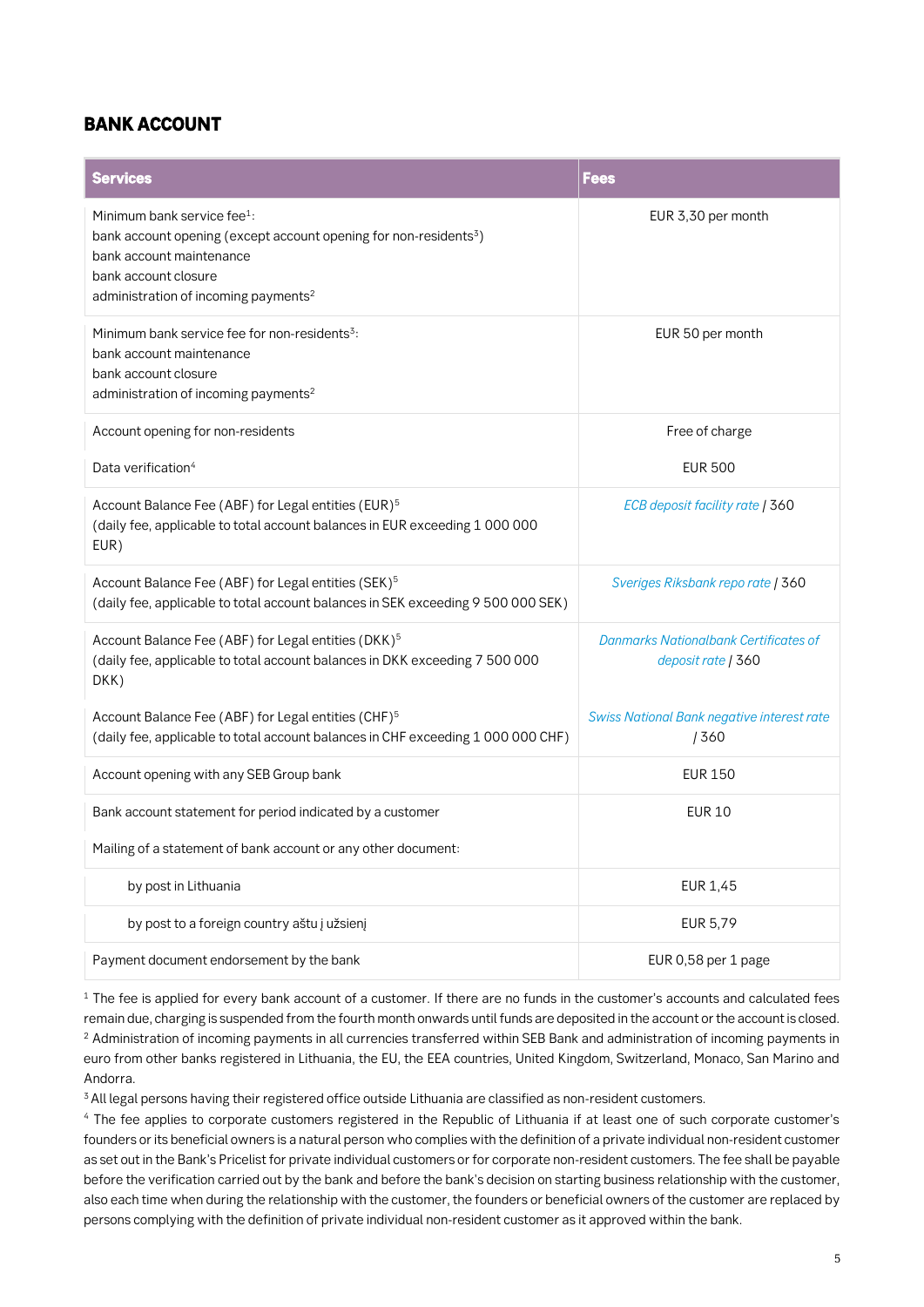### *BANK ACCOUNT*

| <b>Services</b>                                                                                                                                                                                                                  | <b>Fees</b>                                                        |
|----------------------------------------------------------------------------------------------------------------------------------------------------------------------------------------------------------------------------------|--------------------------------------------------------------------|
| Minimum bank service fee <sup>1</sup> :<br>bank account opening (except account opening for non-residents <sup>3</sup> )<br>bank account maintenance<br>bank account closure<br>administration of incoming payments <sup>2</sup> | EUR 3,30 per month                                                 |
| Minimum bank service fee for non-residents <sup>3</sup> :<br>bank account maintenance<br>bank account closure<br>administration of incoming payments <sup>2</sup>                                                                | EUR 50 per month                                                   |
| Account opening for non-residents                                                                                                                                                                                                | Free of charge                                                     |
| Data verification <sup>4</sup>                                                                                                                                                                                                   | <b>EUR 500</b>                                                     |
| Account Balance Fee (ABF) for Legal entities (EUR) <sup>5</sup><br>(daily fee, applicable to total account balances in EUR exceeding 1 000 000<br>EUR)                                                                           | ECB deposit facility rate   360                                    |
| Account Balance Fee (ABF) for Legal entities (SEK) <sup>5</sup><br>(daily fee, applicable to total account balances in SEK exceeding 9 500 000 SEK)                                                                              | Sveriges Riksbank repo rate   360                                  |
| Account Balance Fee (ABF) for Legal entities (DKK) <sup>5</sup><br>(daily fee, applicable to total account balances in DKK exceeding 7 500 000<br>DKK)                                                                           | <b>Danmarks Nationalbank Certificates of</b><br>deposit rate   360 |
| Account Balance Fee (ABF) for Legal entities (CHF) <sup>5</sup><br>(daily fee, applicable to total account balances in CHF exceeding 1 000 000 CHF)                                                                              | <b>Swiss National Bank negative interest rate</b><br>/360          |
| Account opening with any SEB Group bank                                                                                                                                                                                          | <b>EUR 150</b>                                                     |
| Bank account statement for period indicated by a customer                                                                                                                                                                        | <b>EUR 10</b>                                                      |
| Mailing of a statement of bank account or any other document:                                                                                                                                                                    |                                                                    |
| by post in Lithuania                                                                                                                                                                                                             | EUR 1,45                                                           |
| by post to a foreign country aštu į užsienį                                                                                                                                                                                      | EUR 5,79                                                           |
| Payment document endorsement by the bank                                                                                                                                                                                         | EUR 0,58 per 1 page                                                |

**<sup>1</sup> The fee is applied for every bank account of a customer. If there are no funds in the customer's accounts and calculated fees remain due, charging is suspended from the fourth month onwards until funds are deposited in the account or the account is closed. <sup>2</sup> Administration of incoming payments in all currencies transferred within SEB Bank and administration of incoming payments in euro from other banks registered in Lithuania, the EU, the EEA countries, United Kingdom, Switzerland, Monaco, San Marino and Andorra.**

**<sup>3</sup>All legal persons having their registered office outside Lithuania are classified as non-resident customers.**

**<sup>4</sup> The fee applies to corporate customers registered in the Republic of Lithuania if at least one of such corporate customer's founders or its beneficial owners is a natural person who complies with the definition of a private individual non-resident customer as set out in the Bank's Pricelist for private individual customers or for corporate non-resident customers. The fee shall be payable before the verification carried out by the bank and before the bank's decision on starting business relationship with the customer, also each time when during the relationship with the customer, the founders or beneficial owners of the customer are replaced by persons complying with the definition of private individual non-resident customer as it approved within the bank.**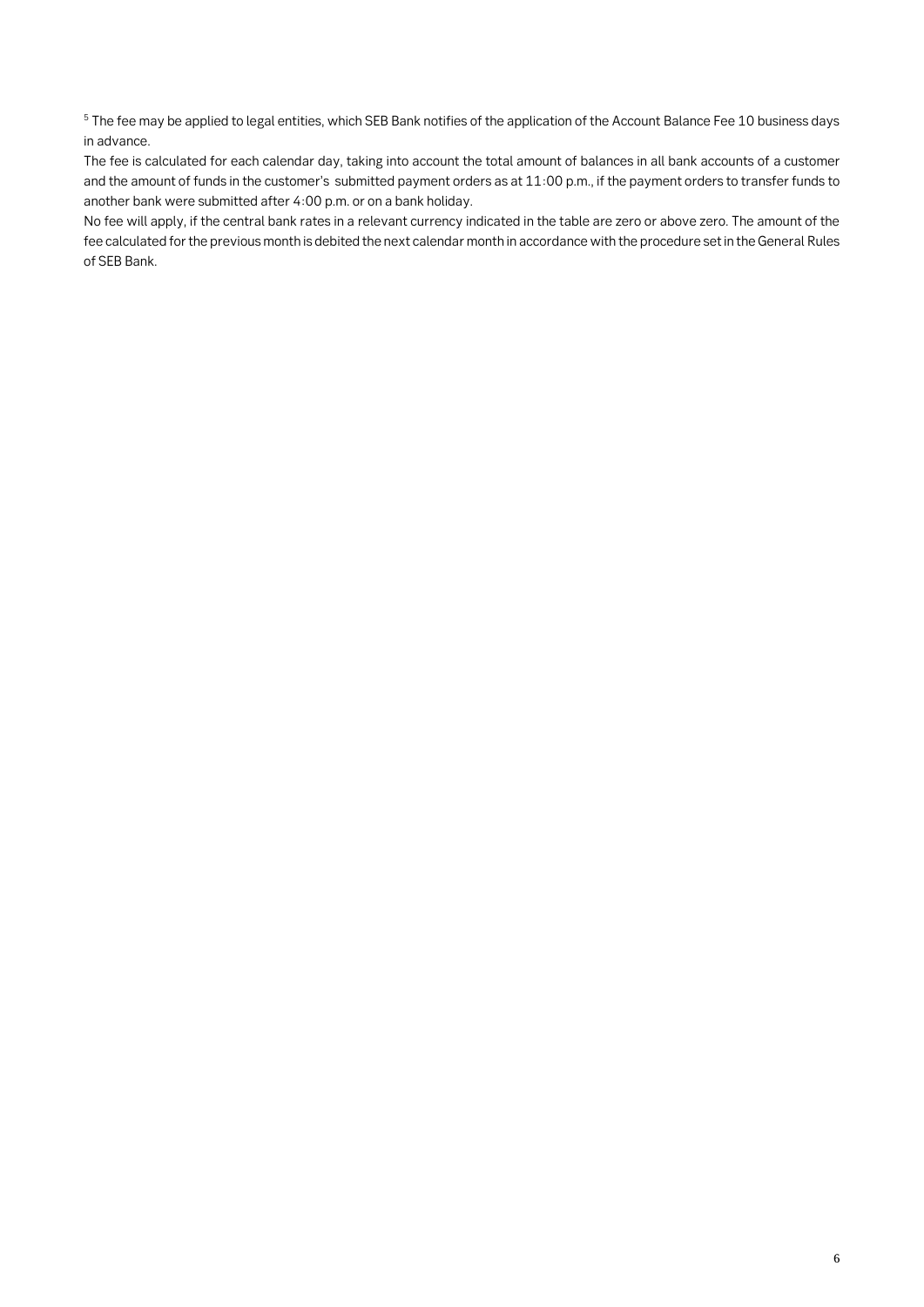**<sup>5</sup> The fee may be applied to legal entities, which SEB Bank notifies of the application of the Account Balance Fee 10 business days in advance.**

**The fee is calculated for each calendar day, taking into account the total amount of balances in all bank accounts of a customer and the amount of funds in the customer's submitted payment orders as at 11:00 p.m., if the payment orders to transfer funds to another bank were submitted after 4:00 p.m. or on a bank holiday.** 

**No fee will apply, if the central bank rates in a relevant currency indicated in the table are zero or above zero. The amount of the fee calculated for the previous month is debited the next calendar month in accordance with the procedure set in the General Rules of SEB Bank.**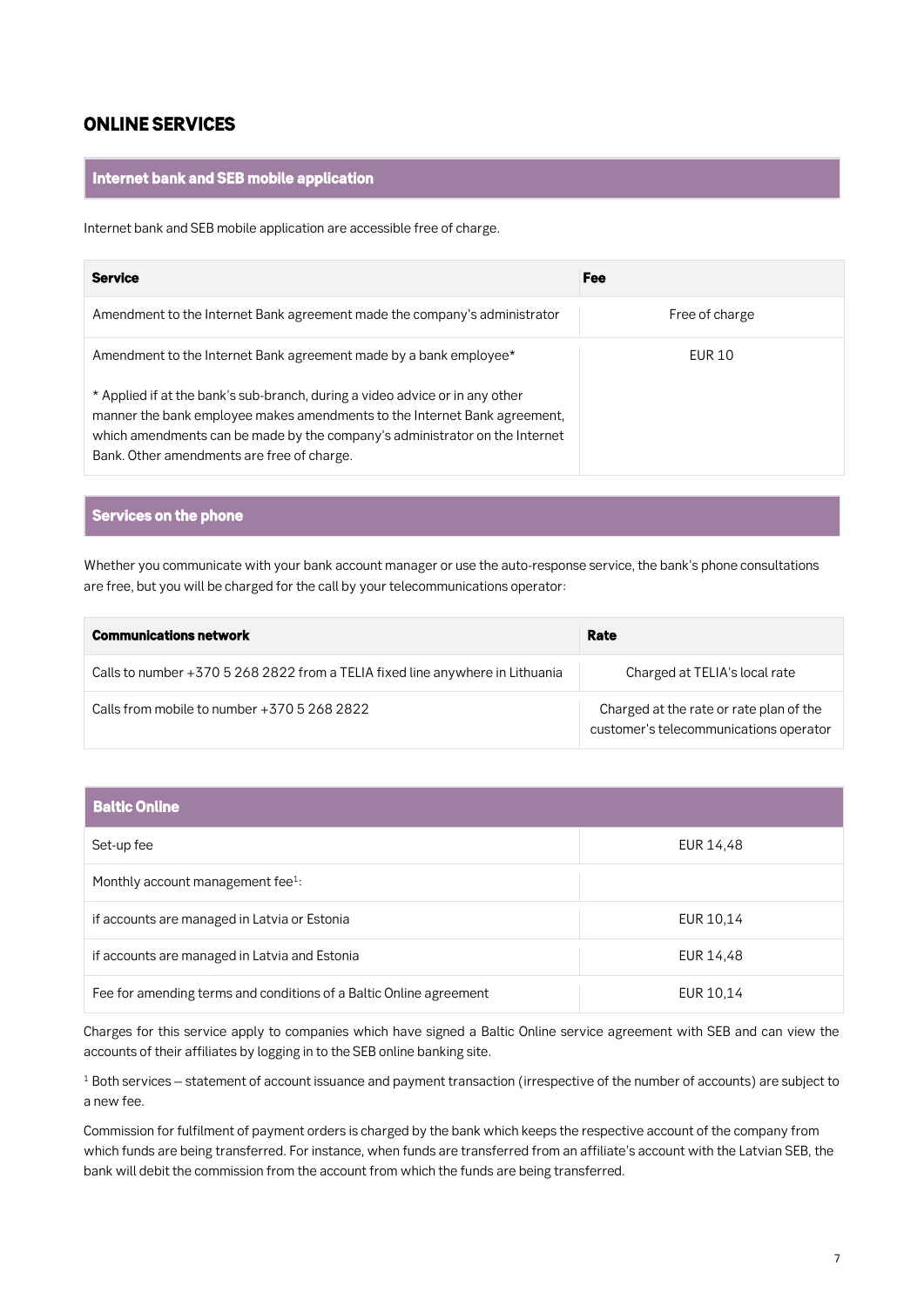### *ONLINE SERVICES*

#### *Internet bank and SEB mobile application*

**Internet bank and SEB mobile application are accessible free of charge.**

| <b>Service</b>                                                                                                                                                                                                                                                                         | Fee            |
|----------------------------------------------------------------------------------------------------------------------------------------------------------------------------------------------------------------------------------------------------------------------------------------|----------------|
| Amendment to the Internet Bank agreement made the company's administrator                                                                                                                                                                                                              | Free of charge |
| Amendment to the Internet Bank agreement made by a bank employee*                                                                                                                                                                                                                      | EUR 10         |
| * Applied if at the bank's sub-branch, during a video advice or in any other<br>manner the bank employee makes amendments to the Internet Bank agreement,<br>which amendments can be made by the company's administrator on the Internet<br>Bank. Other amendments are free of charge. |                |

### *Services on the phone*

**Whether you communicate with your bank account manager or use the auto-response service, the bank's phone consultations are free, but you will be charged for the call by your telecommunications operator:**

| <b>Communications network</b>                                                 | Rate                                                                              |
|-------------------------------------------------------------------------------|-----------------------------------------------------------------------------------|
| Calls to number +370 5 268 2822 from a TELIA fixed line anywhere in Lithuania | Charged at TELIA's local rate                                                     |
| Calls from mobile to number +370 5 268 2822                                   | Charged at the rate or rate plan of the<br>customer's telecommunications operator |

| <b>Baltic Online</b>                                               |           |
|--------------------------------------------------------------------|-----------|
| Set-up fee                                                         | EUR 14,48 |
| Monthly account management fee $1$ :                               |           |
| if accounts are managed in Latvia or Estonia                       | EUR 10,14 |
| if accounts are managed in Latvia and Estonia                      | EUR 14,48 |
| Fee for amending terms and conditions of a Baltic Online agreement | EUR 10,14 |

**Charges for this service apply to companies which have signed a Baltic Online service agreement with SEB and can view the accounts of their affiliates by logging in to the SEB online banking site.**

**<sup>1</sup> Both services – statement of account issuance and payment transaction (irrespective of the number of accounts) are subject to a new fee.**

**Commission for fulfilment of payment orders is charged by the bank which keeps the respective account of the company from which funds are being transferred. For instance, when funds are transferred from an affiliate's account with the Latvian SEB, the bank will debit the commission from the account from which the funds are being transferred.**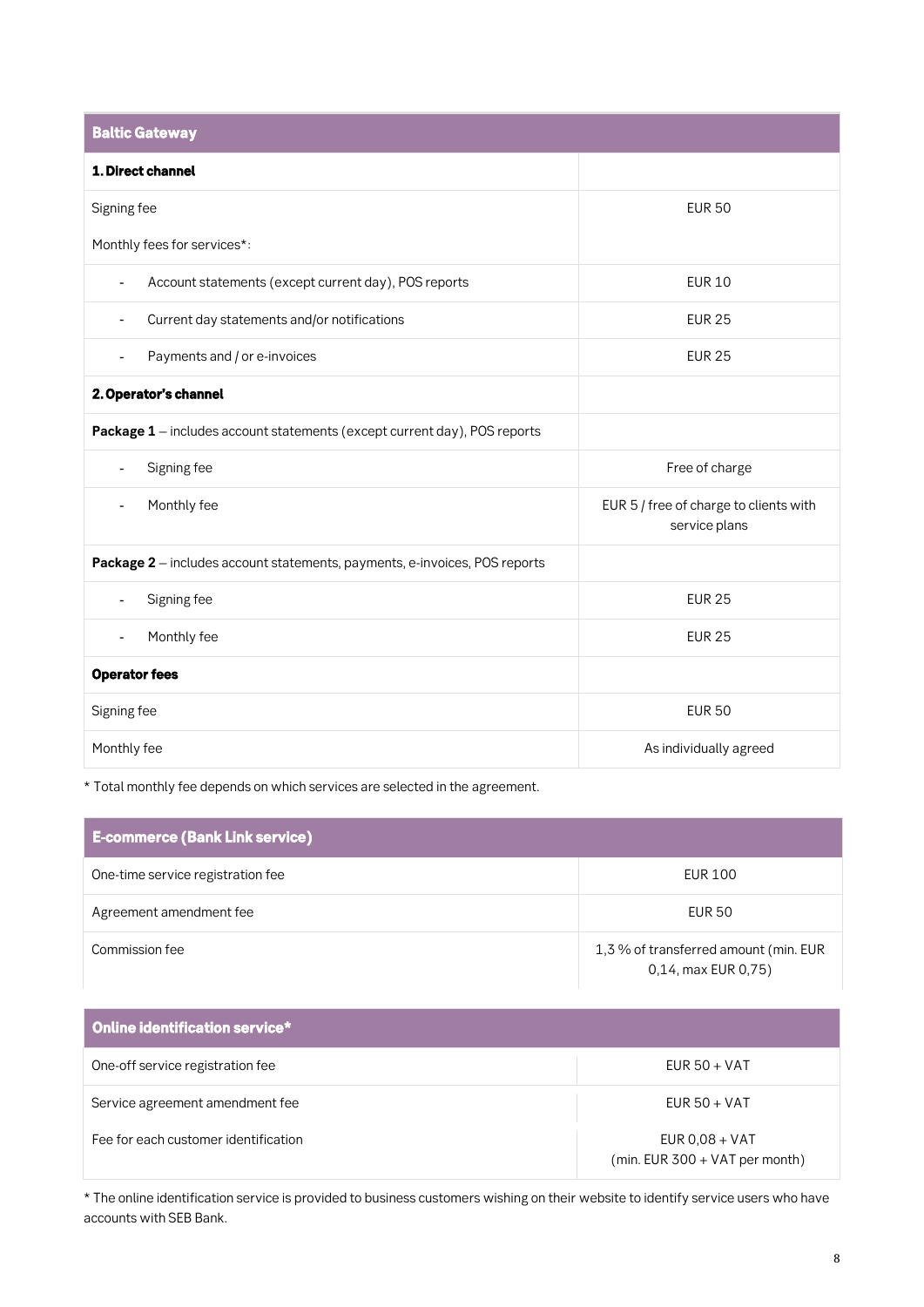| <b>Baltic Gateway</b>                                                      |                                                         |  |
|----------------------------------------------------------------------------|---------------------------------------------------------|--|
| 1. Direct channel                                                          |                                                         |  |
| Signing fee                                                                | <b>EUR 50</b>                                           |  |
| Monthly fees for services*:                                                |                                                         |  |
| Account statements (except current day), POS reports<br>$\overline{a}$     | <b>EUR 10</b>                                           |  |
| Current day statements and/or notifications<br>$\overline{a}$              | <b>EUR 25</b>                                           |  |
| Payments and / or e-invoices<br>L,                                         | <b>EUR 25</b>                                           |  |
| 2. Operator's channel                                                      |                                                         |  |
| Package 1 - includes account statements (except current day), POS reports  |                                                         |  |
| Signing fee<br>$\overline{\phantom{0}}$                                    | Free of charge                                          |  |
| Monthly fee<br>Ξ.                                                          | EUR 5 / free of charge to clients with<br>service plans |  |
| Package 2 - includes account statements, payments, e-invoices, POS reports |                                                         |  |
| Signing fee<br>÷,                                                          | <b>EUR 25</b>                                           |  |
| Monthly fee<br>Ξ.                                                          | <b>EUR 25</b>                                           |  |
| <b>Operator fees</b>                                                       |                                                         |  |
| Signing fee                                                                | <b>EUR 50</b>                                           |  |
| Monthly fee                                                                | As individually agreed                                  |  |

**\* Total monthly fee depends on which services are selected in the agreement.**

| <b>E-commerce (Bank Link service)</b> |                                                              |
|---------------------------------------|--------------------------------------------------------------|
| One-time service registration fee     | EUR 100                                                      |
| Agreement amendment fee               | EUR 50                                                       |
| Commission fee                        | 1,3 % of transferred amount (min. EUR<br>0,14, max EUR 0,75) |

| Online identification service*       |                                                    |
|--------------------------------------|----------------------------------------------------|
| One-off service registration fee     | EUR $50 + VAT$                                     |
| Service agreement amendment fee      | EUR $50 + VAT$                                     |
| Fee for each customer identification | EUR $0.08 + VAT$<br>(min. EUR 300 + VAT per month) |

**\* The online identification service is provided to business customers wishing on their website to identify service users who have accounts with SEB Bank.**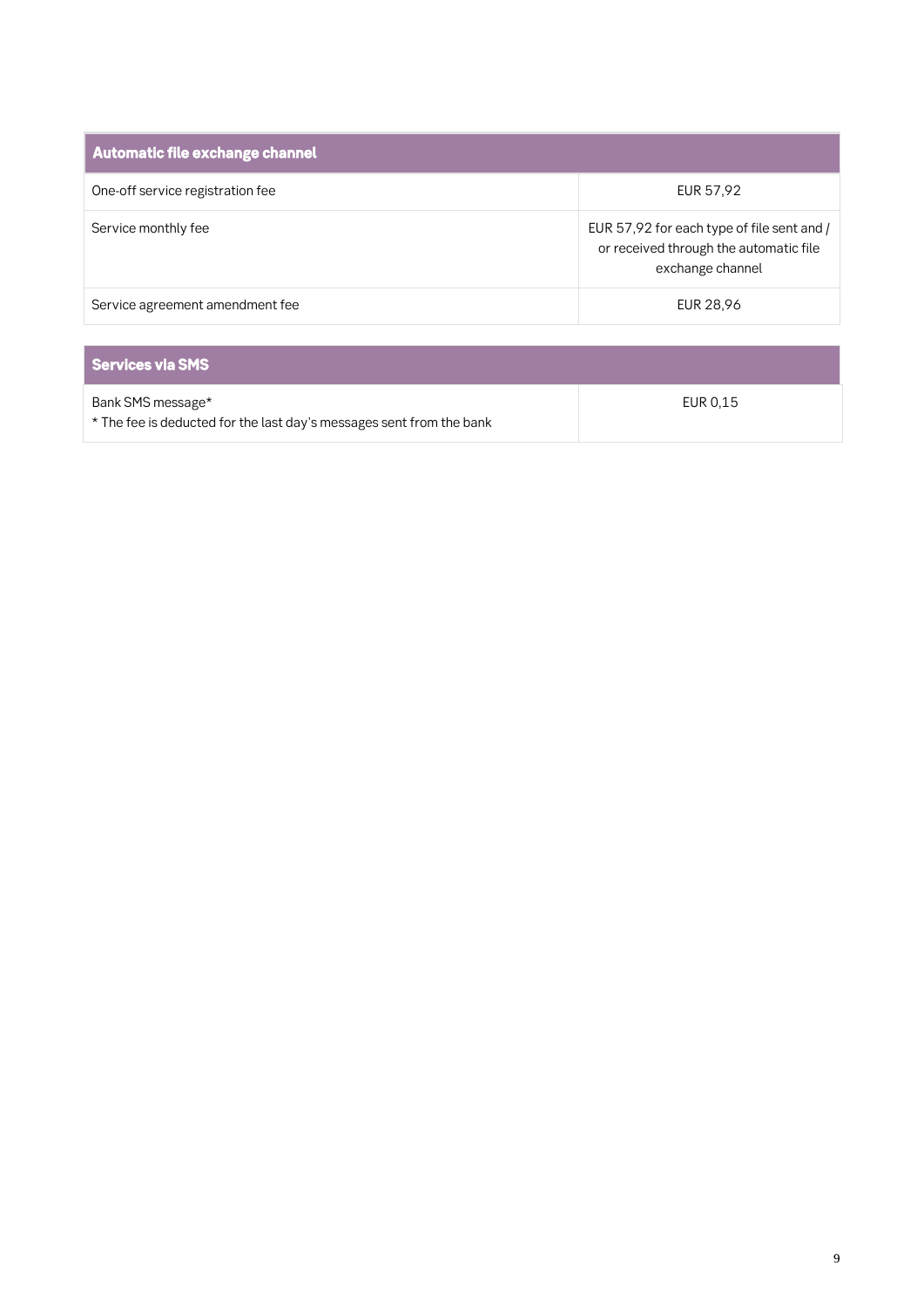| <b>Automatic file exchange channel</b> |                                                                                                          |
|----------------------------------------|----------------------------------------------------------------------------------------------------------|
| One-off service registration fee       | EUR 57,92                                                                                                |
| Service monthly fee                    | EUR 57,92 for each type of file sent and /<br>or received through the automatic file<br>exchange channel |
| Service agreement amendment fee        | EUR 28,96                                                                                                |
| <b>Services via SMS</b>                |                                                                                                          |
| Bank SMS message*                      | EUR 0,15                                                                                                 |

**\* The fee is deducted for the last day's messages sent from the bank**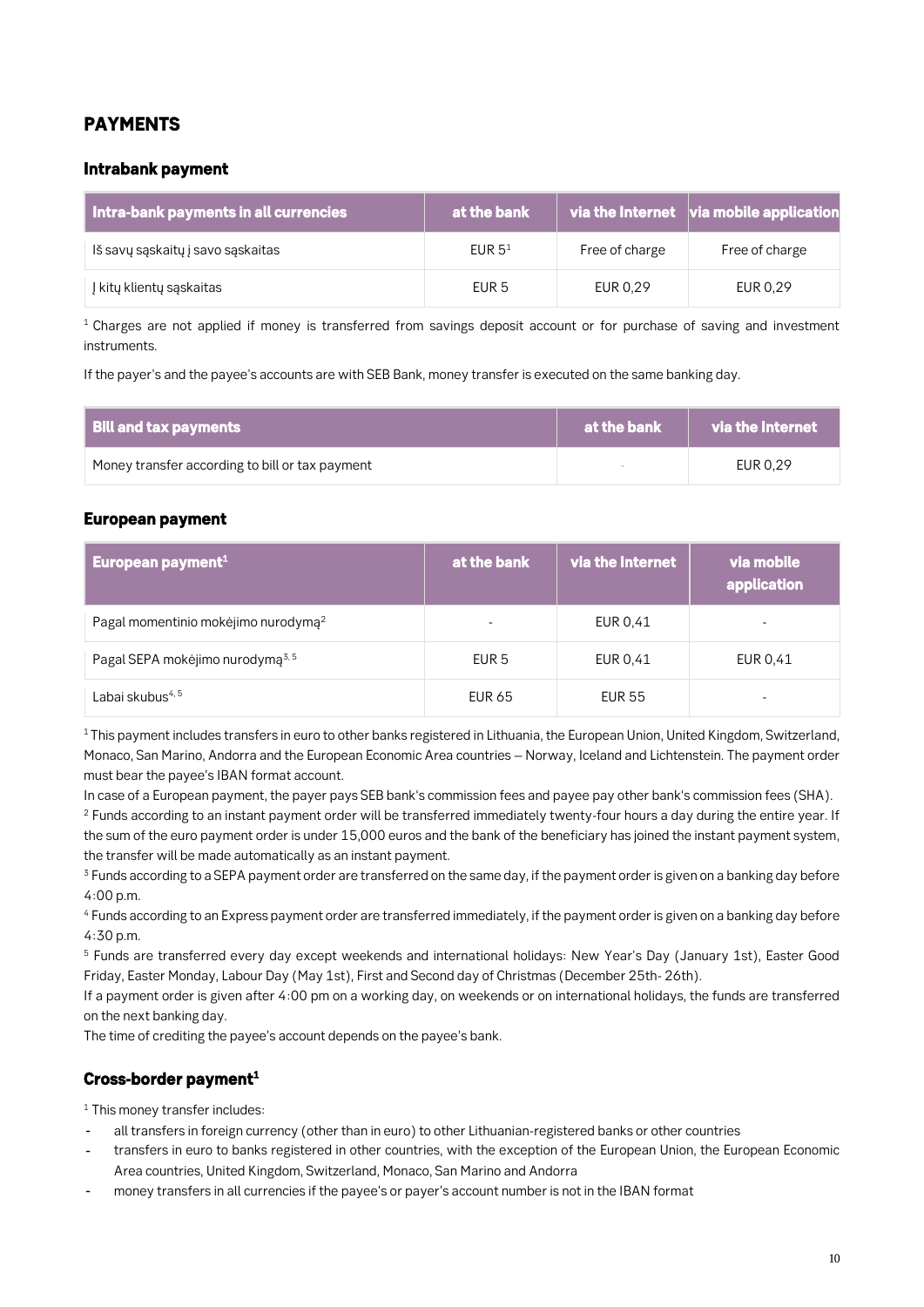### *PAYMENTS*

#### *Intrabank payment*

| <b>Intra-bank payments in all currencies</b> | at the bank      |                | $\overline{\phantom{a}}$ via the Internet $\overline{\phantom{a}}$ via mobile application |
|----------------------------------------------|------------------|----------------|-------------------------------------------------------------------------------------------|
| Iš savų sąskaitų į savo sąskaitas            | EUR $51$         | Free of charge | Free of charge                                                                            |
| l kitų klientų sąskaitas                     | EUR <sub>5</sub> | EUR 0,29       | EUR 0,29                                                                                  |

**<sup>1</sup>Charges are not applied if money is transferred from savings deposit account or for purchase of saving and investment instruments.**

**If the payer's and the payee's accounts are with SEB Bank, money transfer is executed on the same banking day.**

| <b>Bill and tax payments</b>                    | $\blacksquare$ at the bank $\blacksquare$ | $\qquad \qquad$ via the Internet |
|-------------------------------------------------|-------------------------------------------|----------------------------------|
| Money transfer according to bill or tax payment |                                           | EUR 0.29                         |

#### *European payment*

| European payment <sup>1</sup>                   | at the bank | via the Internet | via mobile<br>application |
|-------------------------------------------------|-------------|------------------|---------------------------|
| Pagal momentinio mokėjimo nurodymą <sup>2</sup> |             | EUR 0,41         |                           |
| Pagal SEPA mokėjimo nurodymą <sup>3,5</sup>     | EUR 5       | EUR 0,41         | EUR 0.41                  |
| Labai skubus <sup>4, 5</sup>                    | EUR 65      | <b>EUR 55</b>    | -                         |

**<sup>1</sup>This payment includes transfers in euro to other banks registered in Lithuania, the European Union, United Kingdom, Switzerland, Monaco, San Marino, Andorra and the European Economic Area countries – Norway, Iceland and Lichtenstein. The payment order must bear the payee's IBAN format account.** 

**In case of a European payment, the payer pays SEB bank's commission fees and payee pay other bank's commission fees (SHA).**

**<sup>2</sup> Funds according to an instant payment order will be transferred immediately twenty-four hours a day during the entire year. If the sum of the euro payment order is under 15,000 euros and the bank of the beneficiary has joined the instant payment system, the transfer will be made automatically as an instant payment.**

**<sup>3</sup> Funds according to a SEPA payment order are transferred on the same day, if the payment order is given on a banking day before 4:00 p.m.**

**<sup>4</sup> Funds according to an Express payment order are transferred immediately, if the payment order is given on a banking day before 4:30 p.m.**

**<sup>5</sup> Funds are transferred every day except weekends and international holidays: New Year's Day (January 1st), Easter Good Friday, Easter Monday, Labour Day (May 1st), First and Second day of Christmas (December 25th- 26th).**

**If a payment order is given after 4:00 pm on a working day, on weekends or on international holidays, the funds are transferred on the next banking day.**

**The time of crediting the payee's account depends on the payee's bank.**

### *Cross-border payment<sup>1</sup>*

**<sup>1</sup> This money transfer includes:**

- **all transfers in foreign currency (other than in euro) to other Lithuanian-registered banks or other countries**
- **transfers in euro to banks registered in other countries, with the exception of the European Union, the European Economic Area countries, United Kingdom, Switzerland, Monaco, San Marino and Andorra**
- **money transfers in all currencies if the payee's or payer's account number is not in the IBAN format**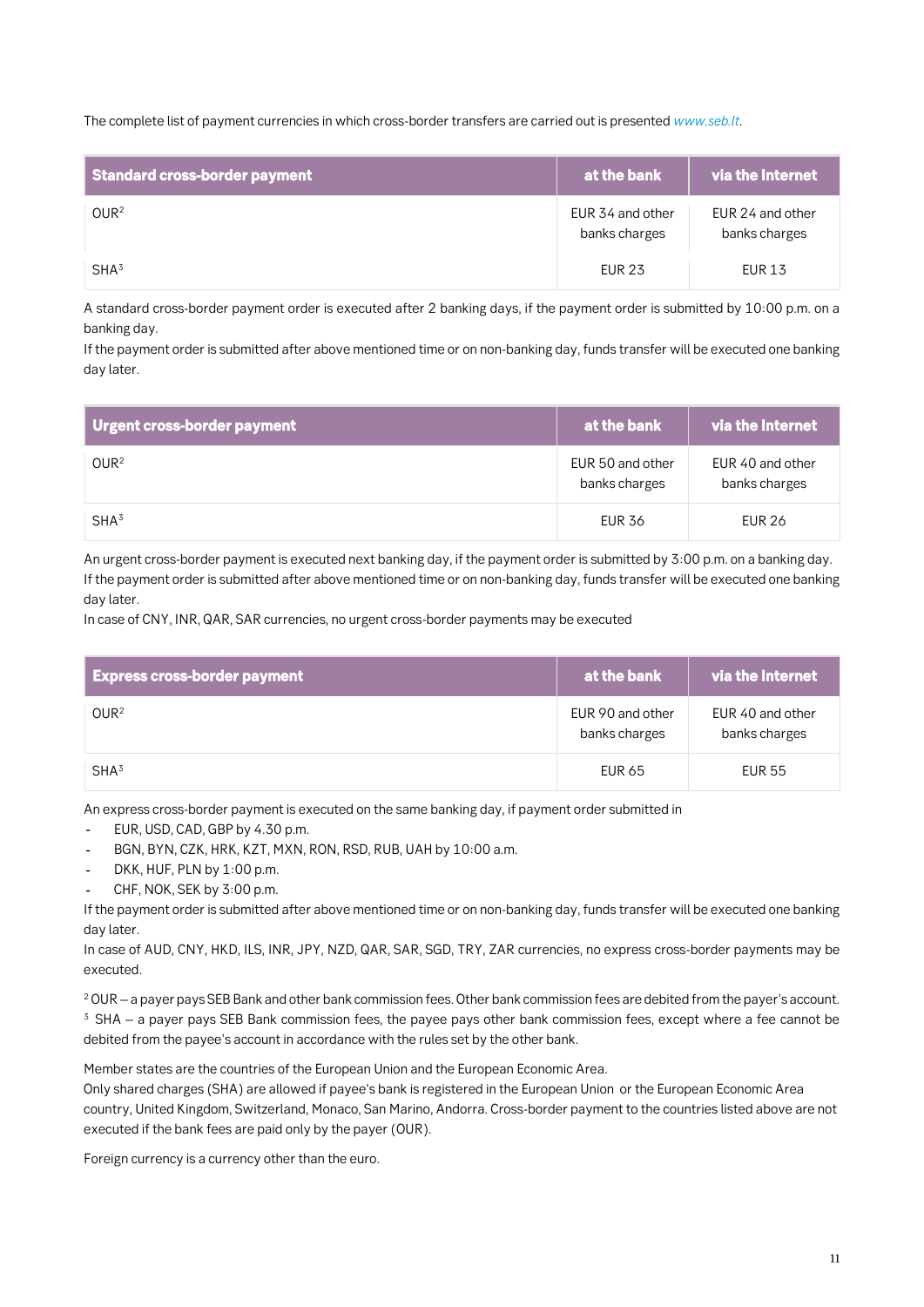**The complete list of payment currencies in which cross-border transfers are carried out is presented** *[www.seb.lt](http://www.seb.lt/)***.**

| <b>Standard cross-border payment</b> | at the bank                       | via the Internet                  |
|--------------------------------------|-----------------------------------|-----------------------------------|
| OWR <sup>2</sup>                     | EUR 34 and other<br>banks charges | EUR 24 and other<br>banks charges |
| SHA <sup>3</sup>                     | <b>EUR 23</b>                     | <b>EUR 13</b>                     |

**A standard cross-border payment order is executed after 2 banking days, if the payment order is submitted by 10:00 p.m. on a banking day.**

**If the payment order is submitted after above mentioned time or on non-banking day, funds transfer will be executed one banking day later.**

| Urgent cross-border payment | at the bank                       | via the Internet                  |
|-----------------------------|-----------------------------------|-----------------------------------|
| OWR <sup>2</sup>            | EUR 50 and other<br>banks charges | EUR 40 and other<br>banks charges |
| SHA <sup>3</sup>            | <b>EUR 36</b>                     | EUR 26                            |

**An urgent cross-border payment is executed next banking day, if the payment order is submitted by 3:00 p.m. on a banking day. If the payment order is submitted after above mentioned time or on non-banking day, funds transfer will be executed one banking day later.**

**In case of CNY, INR, QAR, SAR currencies, no urgent cross-border payments may be executed**

| <b>Express cross-border payment</b> | at the bank                       | via the Internet                  |
|-------------------------------------|-----------------------------------|-----------------------------------|
| OWR <sup>2</sup>                    | EUR 90 and other<br>banks charges | EUR 40 and other<br>banks charges |
| SHA <sup>3</sup>                    | <b>EUR 65</b>                     | EUR 55                            |

**An express cross-border payment is executed on the same banking day, if payment order submitted in**

- **EUR, USD, CAD, GBP by 4.30 p.m.**  $\sim$
- **BGN, BYN, CZK, HRK, KZT, MXN, RON, RSD, RUB, UAH by 10:00 a.m.**
- **DKK, HUF, PLN by 1:00 p.m.**
- **CHF, NOK, SEK by 3:00 p.m.**

**If the payment order is submitted after above mentioned time or on non-banking day, funds transfer will be executed one banking day later.**

**In case of AUD, CNY, HKD, ILS, INR, JPY, NZD, QAR, SAR, SGD, TRY, ZAR currencies, no express cross-border payments may be executed.**

**<sup>2</sup>OUR – a payer pays SEB Bank and other bank commission fees. Other bank commission fees are debited from the payer's account. <sup>3</sup> SHA – a payer pays SEB Bank commission fees, the payee pays other bank commission fees, except where a fee cannot be debited from the payee's account in accordance with the rules set by the other bank.**

**Member states are the countries of the European Union and the European Economic Area.**

**Only shared charges (SHA) are allowed if payee's bank is registered in the European Union or the European Economic Area country, United Kingdom, Switzerland, Monaco, San Marino, Andorra. Cross-border payment to the countries listed above are not executed if the bank fees are paid only by the payer (OUR).**

**Foreign currency is a currency other than the euro.**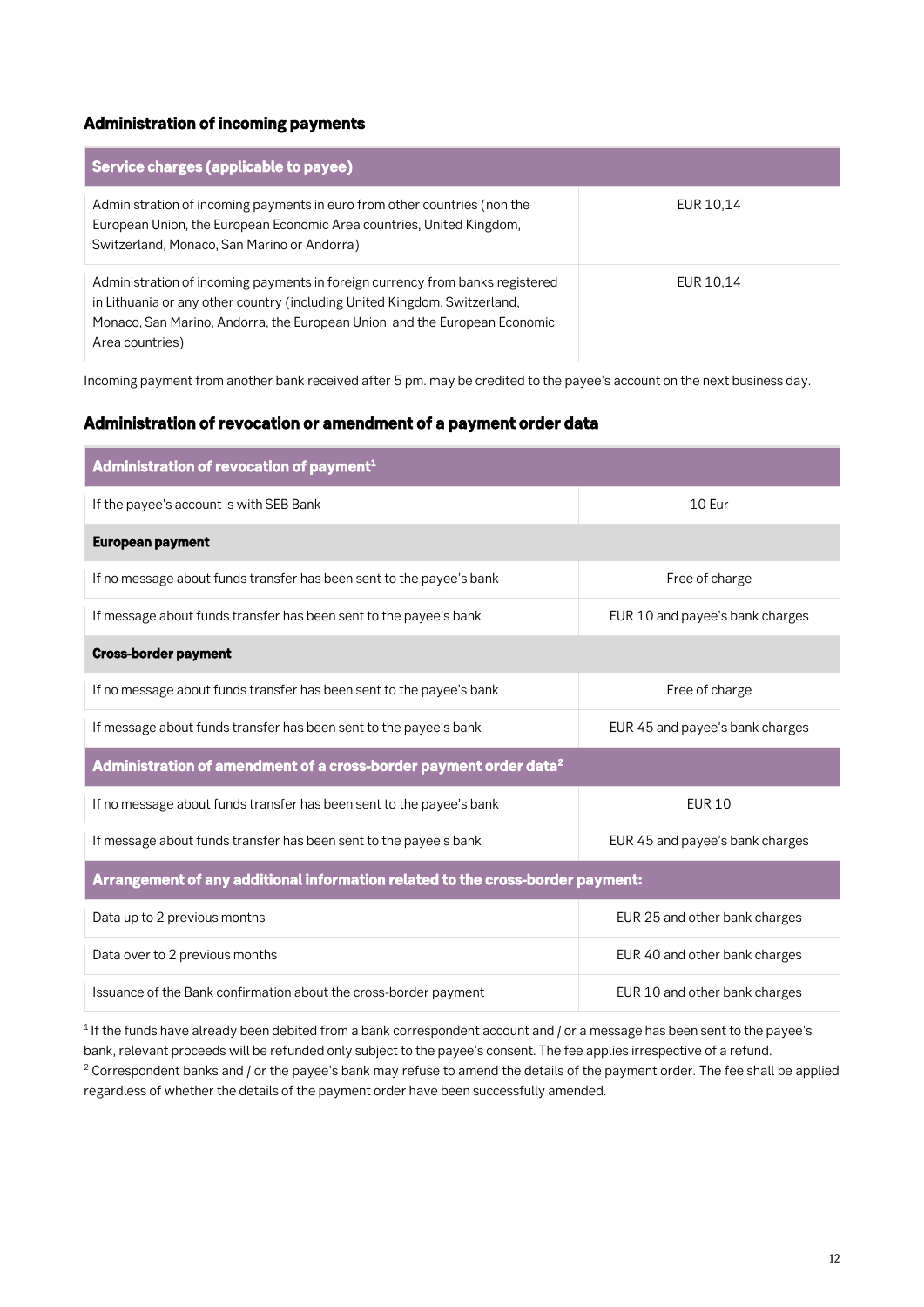#### *Administration of incoming payments*

| Service charges (applicable to payee)                                                                                                                                                                                                                      |           |
|------------------------------------------------------------------------------------------------------------------------------------------------------------------------------------------------------------------------------------------------------------|-----------|
| Administration of incoming payments in euro from other countries (non the<br>European Union, the European Economic Area countries, United Kingdom,<br>Switzerland, Monaco, San Marino or Andorra)                                                          | EUR 10,14 |
| Administration of incoming payments in foreign currency from banks registered<br>in Lithuania or any other country (including United Kingdom, Switzerland,<br>Monaco, San Marino, Andorra, the European Union and the European Economic<br>Area countries) | EUR 10,14 |

**Incoming payment from another bank received after 5 pm. may be credited to the payee's account on the next business day.**

#### *Administration of revocation or amendment of a payment order data*

| Administration of revocation of payment <sup>1</sup>                             |                                 |  |
|----------------------------------------------------------------------------------|---------------------------------|--|
| If the payee's account is with SEB Bank                                          | $10$ Fur                        |  |
| <b>European payment</b>                                                          |                                 |  |
| If no message about funds transfer has been sent to the payee's bank             | Free of charge                  |  |
| If message about funds transfer has been sent to the payee's bank                | EUR 10 and payee's bank charges |  |
| <b>Cross-border payment</b>                                                      |                                 |  |
| If no message about funds transfer has been sent to the payee's bank             | Free of charge                  |  |
| If message about funds transfer has been sent to the payee's bank                | EUR 45 and payee's bank charges |  |
| Administration of amendment of a cross-border payment order data $^{\mathsf{2}}$ |                                 |  |
| If no message about funds transfer has been sent to the payee's bank             | <b>EUR 10</b>                   |  |
| If message about funds transfer has been sent to the payee's bank                | EUR 45 and payee's bank charges |  |
| Arrangement of any additional information related to the cross-border payment:   |                                 |  |
| Data up to 2 previous months                                                     | EUR 25 and other bank charges   |  |
| Data over to 2 previous months                                                   | EUR 40 and other bank charges   |  |
| Issuance of the Bank confirmation about the cross-border payment                 | EUR 10 and other bank charges   |  |

**<sup>1</sup>If the funds have already been debited from a bank correspondent account and / or a message has been sent to the payee's bank, relevant proceeds will be refunded only subject to the payee's consent. The fee applies irrespective of a refund.**

**<sup>2</sup> Correspondent banks and / or the payee's bank may refuse to amend the details of the payment order. The fee shall be applied regardless of whether the details of the payment order have been successfully amended.**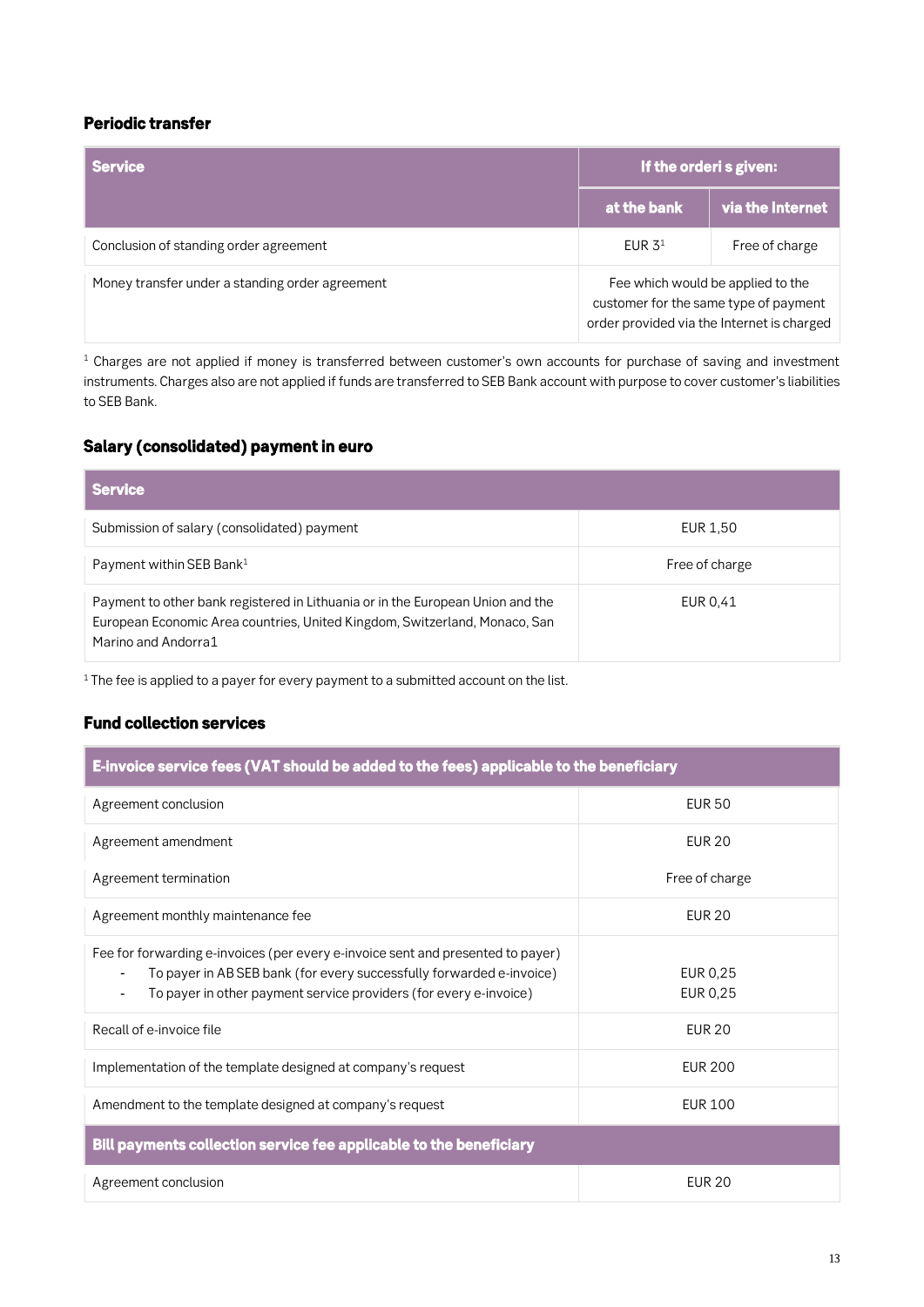### *Periodic transfer*

| <b>Service</b>                                  | If the orderi s given:                                                                                                   |                  |
|-------------------------------------------------|--------------------------------------------------------------------------------------------------------------------------|------------------|
|                                                 | at the bank                                                                                                              | via the Internet |
| Conclusion of standing order agreement          | EUR $31$                                                                                                                 | Free of charge   |
| Money transfer under a standing order agreement | Fee which would be applied to the<br>customer for the same type of payment<br>order provided via the Internet is charged |                  |

**<sup>1</sup> Charges are not applied if money is transferred between customer's own accounts for purchase of saving and investment instruments. Charges also are not applied if funds are transferred to SEB Bank account with purpose to cover customer's liabilities to SEB Bank.**

### *Salary (consolidated) payment in euro*

| <b>Service</b>                                                                                                                                                                      |                |
|-------------------------------------------------------------------------------------------------------------------------------------------------------------------------------------|----------------|
| Submission of salary (consolidated) payment                                                                                                                                         | EUR 1,50       |
| Payment within SEB Bank <sup>1</sup>                                                                                                                                                | Free of charge |
| Payment to other bank registered in Lithuania or in the European Union and the<br>European Economic Area countries, United Kingdom, Switzerland, Monaco, San<br>Marino and Andorra1 | EUR 0.41       |

**<sup>1</sup>The fee is applied to a payer for every payment to a submitted account on the list.**

### *Fund collection services*

| E-invoice service fees (VAT should be added to the fees) applicable to the beneficiary                                                                                                                                       |                      |  |
|------------------------------------------------------------------------------------------------------------------------------------------------------------------------------------------------------------------------------|----------------------|--|
| Agreement conclusion                                                                                                                                                                                                         | <b>EUR 50</b>        |  |
| Agreement amendment                                                                                                                                                                                                          | <b>EUR 20</b>        |  |
| Agreement termination                                                                                                                                                                                                        | Free of charge       |  |
| Agreement monthly maintenance fee                                                                                                                                                                                            | <b>EUR 20</b>        |  |
| Fee for forwarding e-invoices (per every e-invoice sent and presented to payer)<br>To payer in AB SEB bank (for every successfully forwarded e-invoice)<br>To payer in other payment service providers (for every e-invoice) | EUR 0,25<br>EUR 0,25 |  |
| Recall of e-invoice file                                                                                                                                                                                                     | <b>EUR 20</b>        |  |
| Implementation of the template designed at company's request                                                                                                                                                                 | <b>EUR 200</b>       |  |
| Amendment to the template designed at company's request                                                                                                                                                                      | EUR 100              |  |
| Bill payments collection service fee applicable to the beneficiary                                                                                                                                                           |                      |  |
| Agreement conclusion                                                                                                                                                                                                         | <b>EUR 20</b>        |  |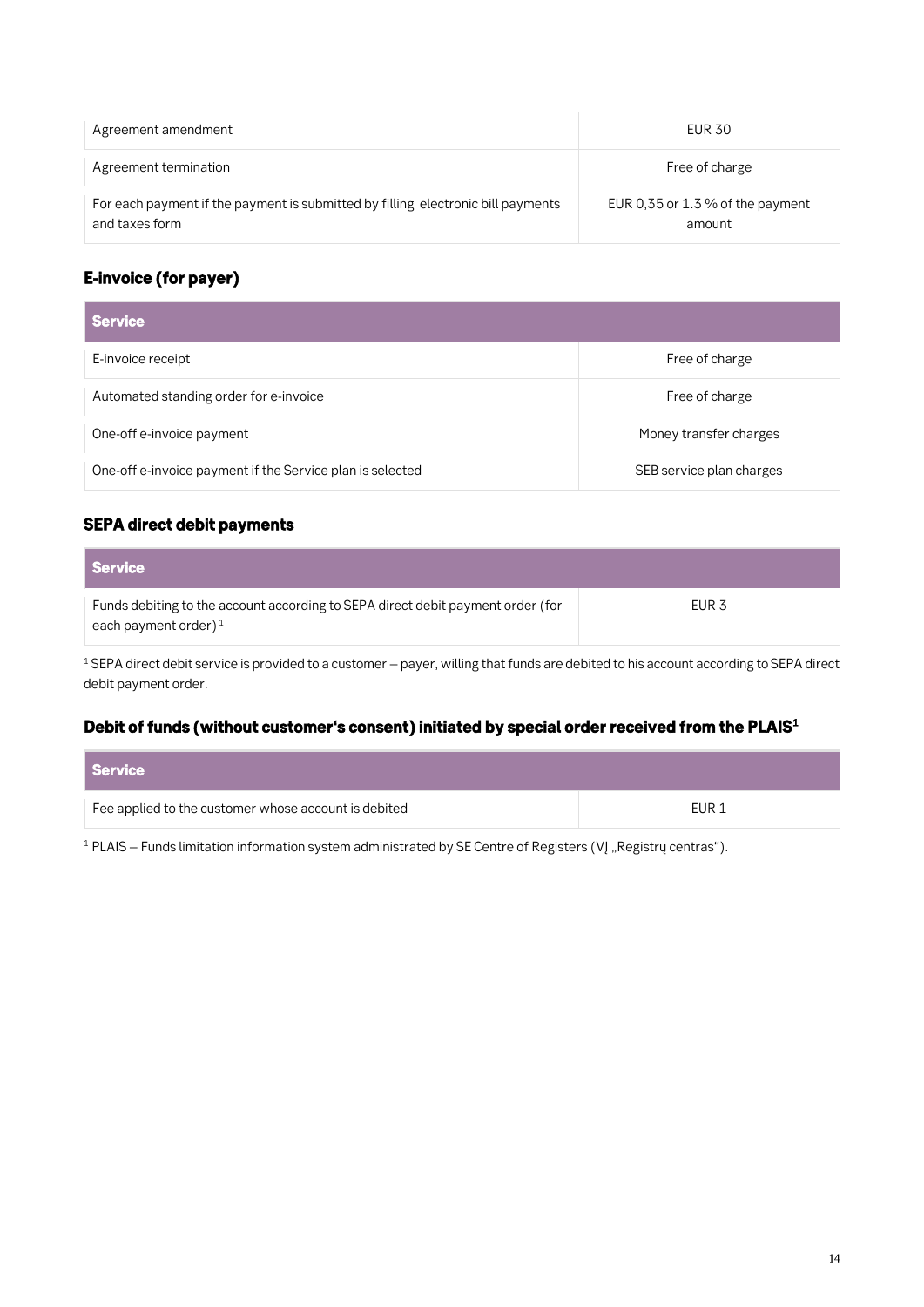| Agreement amendment                                                                                | EUR 30                                     |
|----------------------------------------------------------------------------------------------------|--------------------------------------------|
| Agreement termination                                                                              | Free of charge                             |
| For each payment if the payment is submitted by filling electronic bill payments<br>and taxes form | EUR 0.35 or 1.3 % of the payment<br>amount |

### *E-invoice (for payer)*

| <b>Service</b>                                            |                          |
|-----------------------------------------------------------|--------------------------|
| E-invoice receipt                                         | Free of charge           |
| Automated standing order for e-invoice                    | Free of charge           |
| One-off e-invoice payment                                 | Money transfer charges   |
| One-off e-invoice payment if the Service plan is selected | SEB service plan charges |

### *SEPA direct debit payments*

| <b>Service</b>                                                                                             |                  |
|------------------------------------------------------------------------------------------------------------|------------------|
| Funds debiting to the account according to SEPA direct debit payment order (for<br>each payment order) $1$ | EUR <sub>3</sub> |

<sup>1</sup> SEPA direct debit service is provided to a customer – payer, willing that funds are debited to his account according to SEPA direct **debit payment order.**

#### *Debit of funds (without customer's consent) initiated by special order received from the PLAIS<sup>1</sup>*

| Service                                              |       |
|------------------------------------------------------|-------|
| Fee applied to the customer whose account is debited | EUR 1 |

<sup>1</sup> PLAIS – Funds limitation information system administrated by SE Centre of Registers (VĮ "Registrų centras").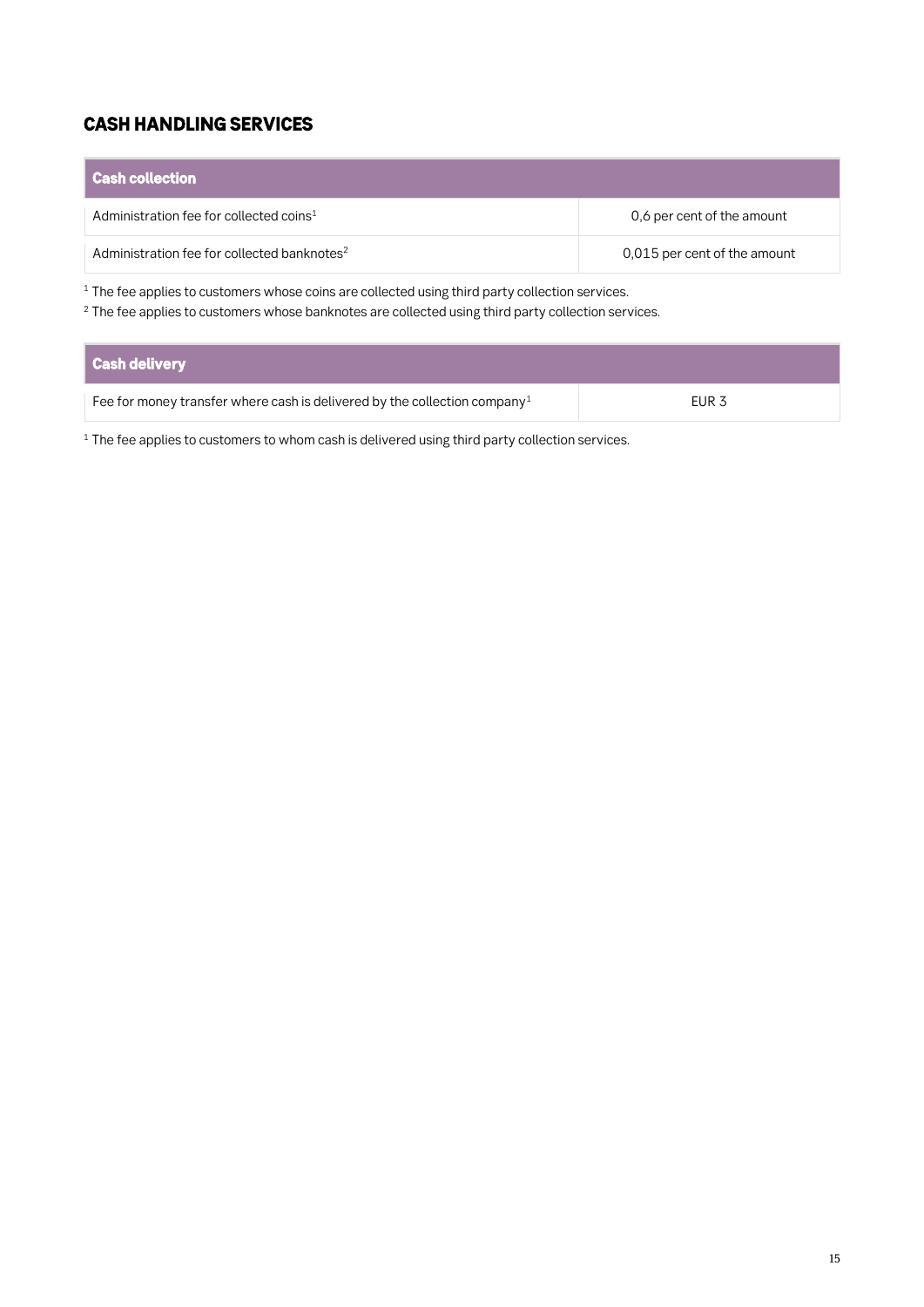### *CASH HANDLING SERVICES*

# *Cash collection*

| I Cash collection i                                     |                              |
|---------------------------------------------------------|------------------------------|
| Administration fee for collected coins <sup>1</sup>     | 0,6 per cent of the amount   |
| Administration fee for collected banknotes <sup>2</sup> | 0,015 per cent of the amount |
|                                                         |                              |

**<sup>1</sup> The fee applies to customers whose coins are collected using third party collection services.**

**<sup>2</sup> The fee applies to customers whose banknotes are collected using third party collection services.**

| Cash delivery                                                                         |                  |
|---------------------------------------------------------------------------------------|------------------|
| Fee for money transfer where cash is delivered by the collection company <sup>1</sup> | EUR <sub>3</sub> |

**<sup>1</sup> The fee applies to customers to whom cash is delivered using third party collection services.**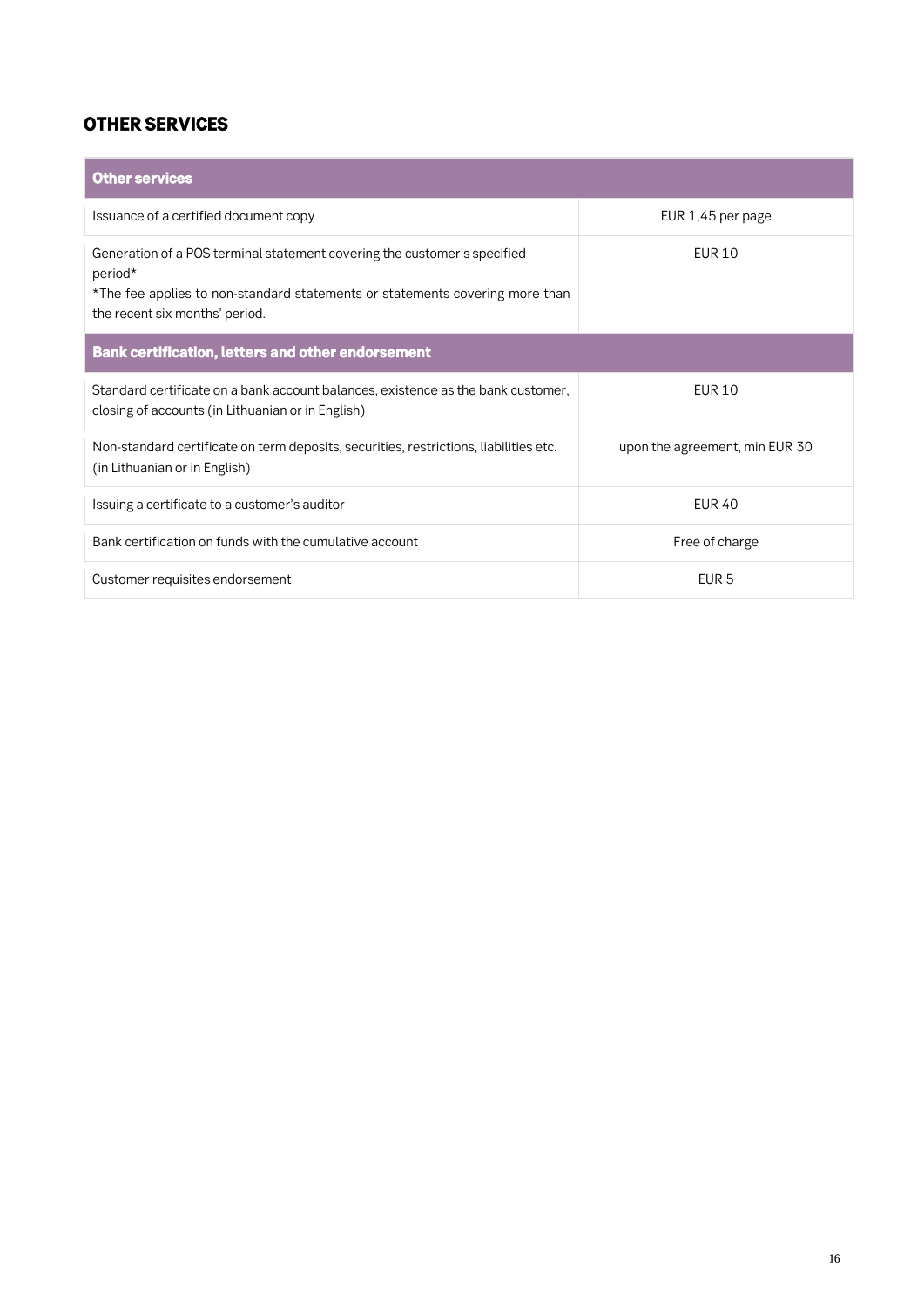### *OTHER SERVICES*

| <b>Other services</b>                                                                                                                                                                                 |                                |  |
|-------------------------------------------------------------------------------------------------------------------------------------------------------------------------------------------------------|--------------------------------|--|
| Issuance of a certified document copy                                                                                                                                                                 | EUR 1,45 per page              |  |
| Generation of a POS terminal statement covering the customer's specified<br>period*<br>*The fee applies to non-standard statements or statements covering more than<br>the recent six months' period. | EUR 10                         |  |
| <b>Bank certification, letters and other endorsement</b>                                                                                                                                              |                                |  |
| Standard certificate on a bank account balances, existence as the bank customer,<br>closing of accounts (in Lithuanian or in English)                                                                 | <b>EUR 10</b>                  |  |
| Non-standard certificate on term deposits, securities, restrictions, liabilities etc.<br>(in Lithuanian or in English)                                                                                | upon the agreement, min EUR 30 |  |
| Issuing a certificate to a customer's auditor                                                                                                                                                         | <b>EUR 40</b>                  |  |
| Bank certification on funds with the cumulative account                                                                                                                                               | Free of charge                 |  |
| Customer requisites endorsement                                                                                                                                                                       | FUR <sub>5</sub>               |  |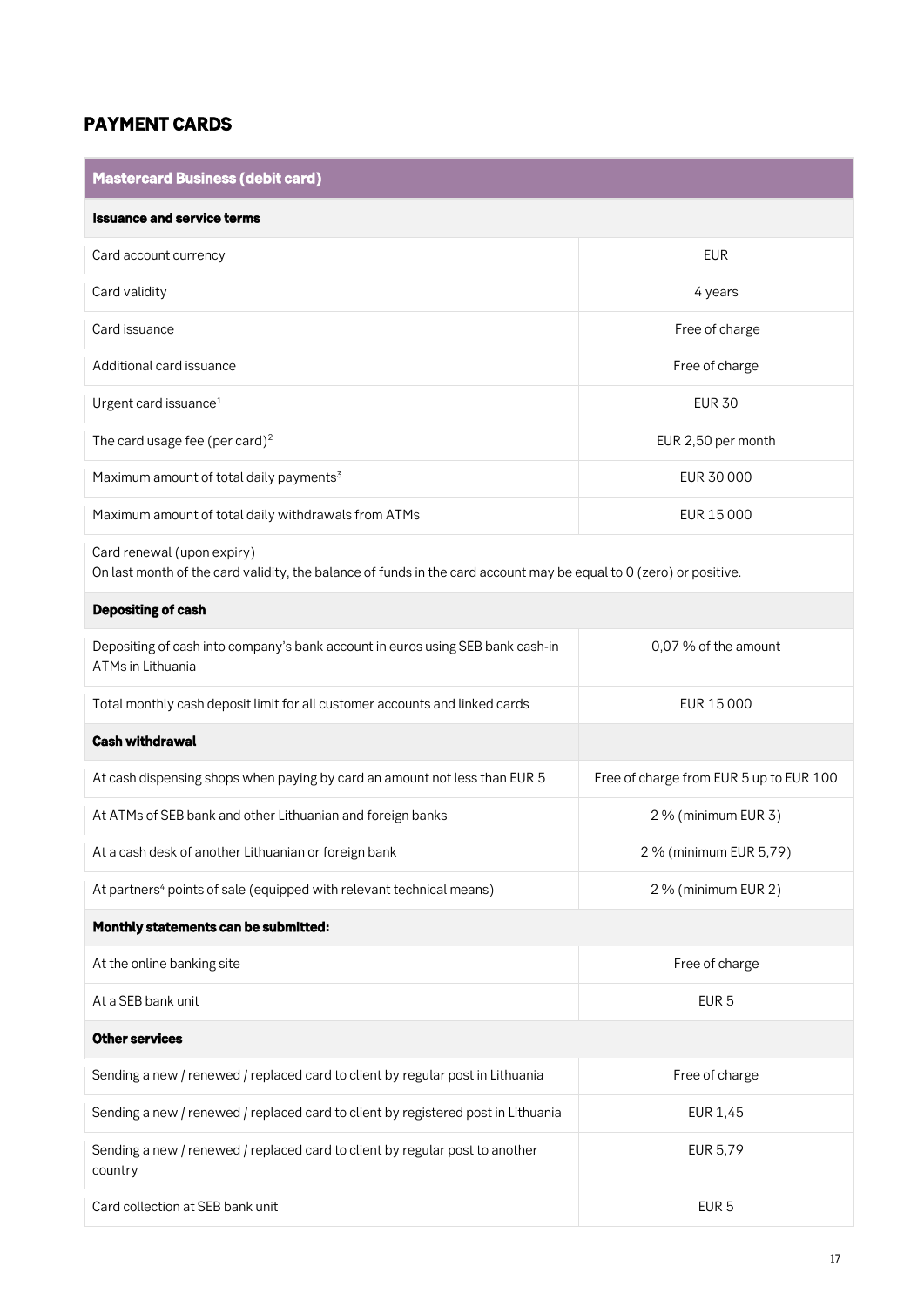### *PAYMENT CARDS*

| Mastercard Business (debit card)                                                                                                                 |                                         |  |
|--------------------------------------------------------------------------------------------------------------------------------------------------|-----------------------------------------|--|
| <b>Issuance and service terms</b>                                                                                                                |                                         |  |
| Card account currency                                                                                                                            | <b>EUR</b>                              |  |
| Card validity                                                                                                                                    | 4 years                                 |  |
| Card issuance                                                                                                                                    | Free of charge                          |  |
| Additional card issuance                                                                                                                         | Free of charge                          |  |
| Urgent card issuance <sup>1</sup>                                                                                                                | <b>EUR 30</b>                           |  |
| The card usage fee (per card) <sup>2</sup>                                                                                                       | EUR 2,50 per month                      |  |
| Maximum amount of total daily payments <sup>3</sup>                                                                                              | EUR 30 000                              |  |
| Maximum amount of total daily withdrawals from ATMs                                                                                              | EUR 15 000                              |  |
| Card renewal (upon expiry)<br>On last month of the card validity, the balance of funds in the card account may be equal to 0 (zero) or positive. |                                         |  |
| <b>Depositing of cash</b>                                                                                                                        |                                         |  |
| Depositing of cash into company's bank account in euros using SEB bank cash-in<br>ATMs in Lithuania                                              | 0,07 % of the amount                    |  |
| Total monthly cash deposit limit for all customer accounts and linked cards                                                                      | EUR 15 000                              |  |
| <b>Cash withdrawal</b>                                                                                                                           |                                         |  |
| At cash dispensing shops when paying by card an amount not less than EUR 5                                                                       | Free of charge from EUR 5 up to EUR 100 |  |
| At ATMs of SEB bank and other Lithuanian and foreign banks                                                                                       | 2 % (minimum EUR 3)                     |  |
| At a cash desk of another Lithuanian or foreign bank                                                                                             | 2 % (minimum EUR 5,79)                  |  |
| At partners <sup>4</sup> points of sale (equipped with relevant technical means)                                                                 | 2 % (minimum EUR 2)                     |  |
| Monthly statements can be submitted:                                                                                                             |                                         |  |
| At the online banking site                                                                                                                       | Free of charge                          |  |
| At a SEB bank unit                                                                                                                               | EUR <sub>5</sub>                        |  |
| <b>Other services</b>                                                                                                                            |                                         |  |
| Sending a new / renewed / replaced card to client by regular post in Lithuania                                                                   | Free of charge                          |  |
| Sending a new / renewed / replaced card to client by registered post in Lithuania                                                                | EUR 1,45                                |  |
| Sending a new / renewed / replaced card to client by regular post to another<br>country                                                          | EUR 5,79                                |  |
| Card collection at SEB bank unit                                                                                                                 | EUR <sub>5</sub>                        |  |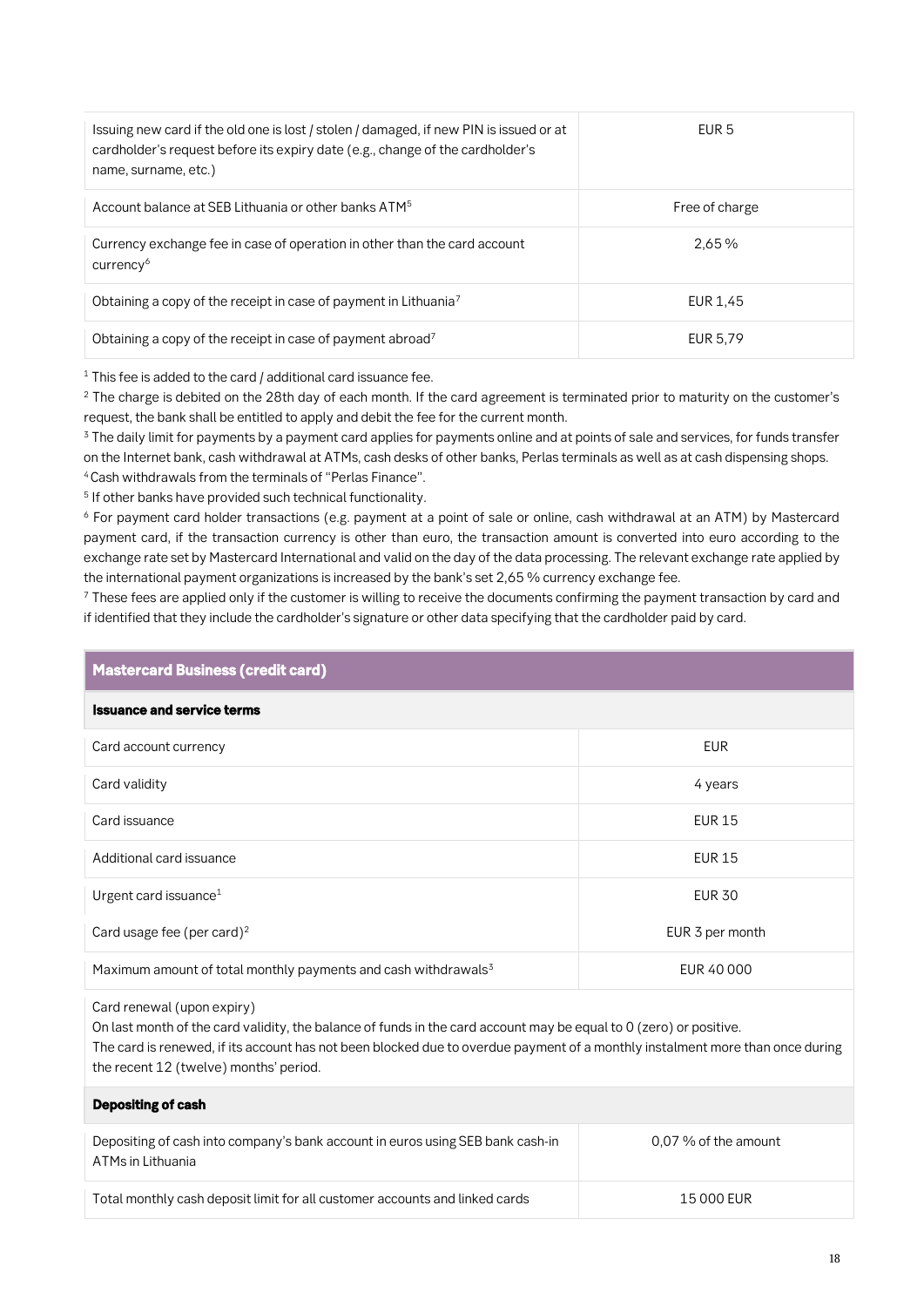| Issuing new card if the old one is lost / stolen / damaged, if new PIN is issued or at<br>cardholder's request before its expiry date (e.g., change of the cardholder's<br>name, surname, etc.) | FUR 5          |
|-------------------------------------------------------------------------------------------------------------------------------------------------------------------------------------------------|----------------|
| Account balance at SEB Lithuania or other banks ATM <sup>5</sup>                                                                                                                                | Free of charge |
| Currency exchange fee in case of operation in other than the card account<br>currency <sup>6</sup>                                                                                              | 2.65%          |
| Obtaining a copy of the receipt in case of payment in Lithuania <sup>7</sup>                                                                                                                    | EUR 1.45       |
| Obtaining a copy of the receipt in case of payment abroad <sup>7</sup>                                                                                                                          | EUR 5.79       |

**<sup>1</sup> This fee is added to the card / additional card issuance fee.**

**<sup>2</sup> The charge is debited on the 28th day of each month. If the card agreement is terminated prior to maturity on the customer's request, the bank shall be entitled to apply and debit the fee for the current month.**

**<sup>3</sup> The daily limit for payments by a payment card applies for payments online and at points of sale and services, for funds transfer on the Internet bank, cash withdrawal at ATMs, cash desks of other banks, Perlas terminals as well as at cash dispensing shops. <sup>4</sup>Cash withdrawals from the terminals of "Perlas Finance".**

**5 If other banks have provided such technical functionality.**

**<sup>6</sup> For payment card holder transactions (e.g. payment at a point of sale or online, cash withdrawal at an ATM) by Mastercard payment card, if the transaction currency is other than euro, the transaction amount is converted into euro according to the exchange rate set by Mastercard International and valid on the day of the data processing. The relevant exchange rate applied by the international payment organizations is increased by the bank's set 2,65 % currency exchange fee.**

**<sup>7</sup> These fees are applied only if the customer is willing to receive the documents confirming the payment transaction by card and if identified that they include the cardholder's signature or other data specifying that the cardholder paid by card.**

#### *Mastercard Business (credit card)*

#### *Issuance and service terms*

| Card account currency                                                      | <b>EUR</b>      |
|----------------------------------------------------------------------------|-----------------|
| Card validity                                                              | 4 years         |
| Card issuance                                                              | <b>EUR 15</b>   |
| Additional card issuance                                                   | <b>EUR 15</b>   |
| Urgent card issuance <sup>1</sup>                                          | <b>EUR 30</b>   |
| Card usage fee (per card) $2$                                              | EUR 3 per month |
| Maximum amount of total monthly payments and cash withdrawals <sup>3</sup> | EUR 40 000      |

#### **Card renewal (upon expiry)**

*Depositing of cash*

**On last month of the card validity, the balance of funds in the card account may be equal to 0 (zero) or positive. The card is renewed, if its account has not been blocked due to overdue payment of a monthly instalment more than once during the recent 12 (twelve) months' period.**

| _ _ _ _ _ _ _ _ _ _ _ _ _ _                                                                         |                        |
|-----------------------------------------------------------------------------------------------------|------------------------|
| Depositing of cash into company's bank account in euros using SEB bank cash-in<br>ATMs in Lithuania | $0.07\%$ of the amount |
| Total monthly cash deposit limit for all customer accounts and linked cards                         | 15 000 EUR             |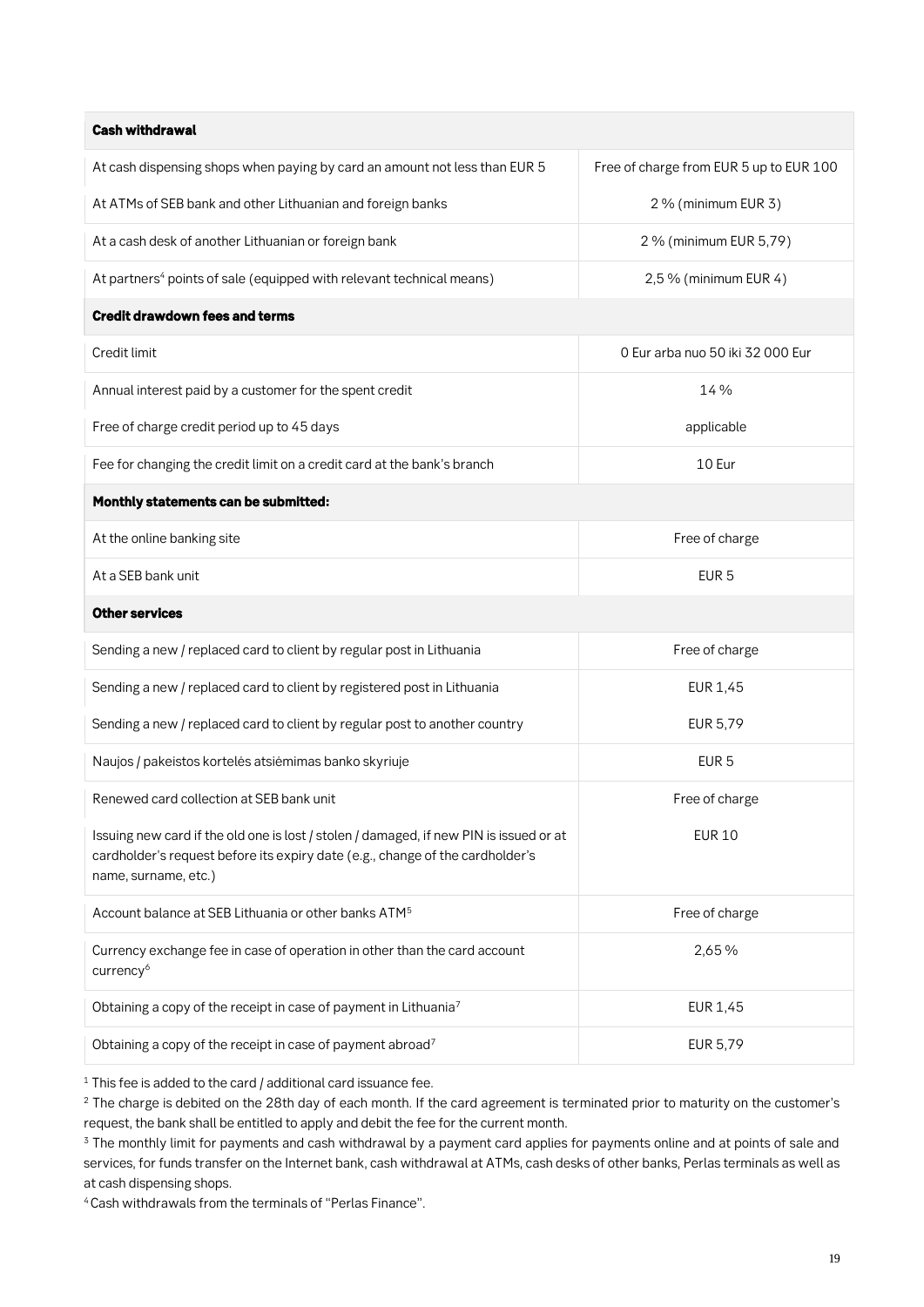| <b>Cash withdrawal</b>                                                           |                                         |
|----------------------------------------------------------------------------------|-----------------------------------------|
| At cash dispensing shops when paying by card an amount not less than EUR 5       | Free of charge from EUR 5 up to EUR 100 |
| At ATMs of SEB bank and other Lithuanian and foreign banks                       | $2\%$ (minimum EUR 3)                   |
| At a cash desk of another Lithuanian or foreign bank                             | 2 % (minimum EUR 5,79)                  |
| At partners <sup>4</sup> points of sale (equipped with relevant technical means) | $2.5\%$ (minimum EUR 4)                 |
|                                                                                  |                                         |

#### *Credit drawdown fees and terms*

| Credit limit                                                                                                                                                                                    | 0 Eur arba nuo 50 iki 32 000 Eur |  |
|-------------------------------------------------------------------------------------------------------------------------------------------------------------------------------------------------|----------------------------------|--|
| Annual interest paid by a customer for the spent credit                                                                                                                                         | 14 %                             |  |
| Free of charge credit period up to 45 days                                                                                                                                                      | applicable                       |  |
| Fee for changing the credit limit on a credit card at the bank's branch                                                                                                                         | 10 Eur                           |  |
| Monthly statements can be submitted:                                                                                                                                                            |                                  |  |
| At the online banking site                                                                                                                                                                      | Free of charge                   |  |
| At a SEB bank unit                                                                                                                                                                              | EUR <sub>5</sub>                 |  |
| <b>Other services</b>                                                                                                                                                                           |                                  |  |
| Sending a new / replaced card to client by regular post in Lithuania                                                                                                                            | Free of charge                   |  |
| Sending a new / replaced card to client by registered post in Lithuania                                                                                                                         | <b>EUR 1,45</b>                  |  |
| Sending a new / replaced card to client by regular post to another country                                                                                                                      | <b>EUR 5,79</b>                  |  |
| Naujos / pakeistos kortelės atsiėmimas banko skyriuje                                                                                                                                           | EUR <sub>5</sub>                 |  |
| Renewed card collection at SEB bank unit                                                                                                                                                        | Free of charge                   |  |
| Issuing new card if the old one is lost / stolen / damaged, if new PIN is issued or at<br>cardholder's request before its expiry date (e.g., change of the cardholder's<br>name, surname, etc.) | <b>EUR 10</b>                    |  |
| Account balance at SEB Lithuania or other banks ATM <sup>5</sup>                                                                                                                                | Free of charge                   |  |
| Currency exchange fee in case of operation in other than the card account<br>currency <sup>6</sup>                                                                                              | 2,65%                            |  |
| Obtaining a copy of the receipt in case of payment in Lithuania <sup>7</sup>                                                                                                                    | <b>EUR 1,45</b>                  |  |
| Obtaining a copy of the receipt in case of payment abroad7                                                                                                                                      | <b>EUR 5,79</b>                  |  |
|                                                                                                                                                                                                 |                                  |  |

**<sup>1</sup> This fee is added to the card / additional card issuance fee.**

**<sup>2</sup> The charge is debited on the 28th day of each month. If the card agreement is terminated prior to maturity on the customer's request, the bank shall be entitled to apply and debit the fee for the current month.**

**4 Cash withdrawals from the terminals of "Perlas Finance".**

**<sup>3</sup> The monthly limit for payments and cash withdrawal by a payment card applies for payments online and at points of sale and services, for funds transfer on the Internet bank, cash withdrawal at ATMs, cash desks of other banks, Perlas terminals as well as at cash dispensing shops.**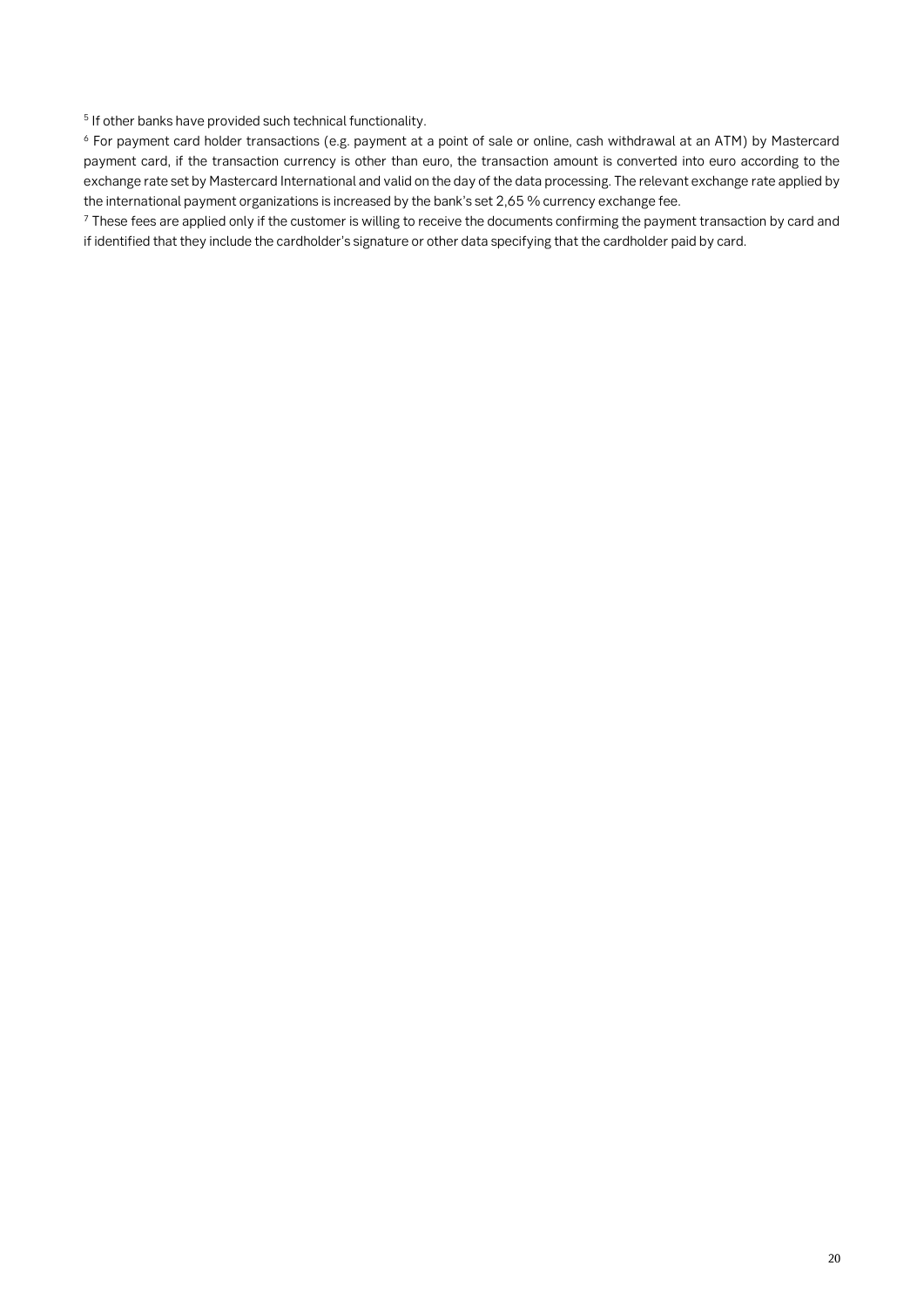**5 If other banks have provided such technical functionality.**

**<sup>6</sup> For payment card holder transactions (e.g. payment at a point of sale or online, cash withdrawal at an ATM) by Mastercard payment card, if the transaction currency is other than euro, the transaction amount is converted into euro according to the exchange rate set by Mastercard International and valid on the day of the data processing. The relevant exchange rate applied by the international payment organizations is increased by the bank's set 2,65 % currency exchange fee.**

**<sup>7</sup> These fees are applied only if the customer is willing to receive the documents confirming the payment transaction by card and if identified that they include the cardholder's signature or other data specifying that the cardholder paid by card.**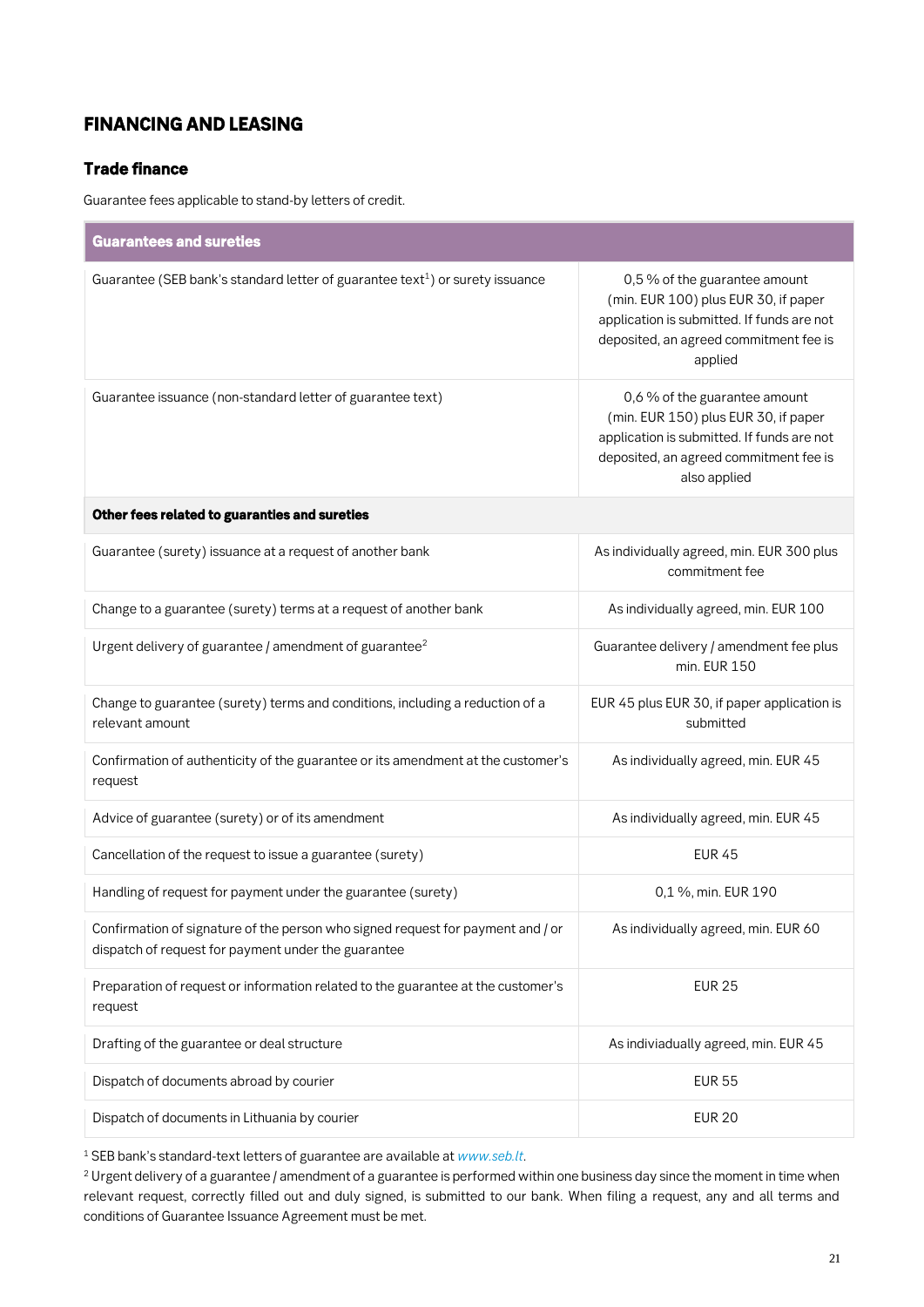### *FINANCING AND LEASING*

### *Trade finance*

**Guarantee fees applicable to stand-by letters of credit.**

| <b>Guarantees and sureties</b>                                                                                                         |                                                                                                                                                                               |
|----------------------------------------------------------------------------------------------------------------------------------------|-------------------------------------------------------------------------------------------------------------------------------------------------------------------------------|
| Guarantee (SEB bank's standard letter of guarantee text <sup>1</sup> ) or surety issuance                                              | 0,5 % of the guarantee amount<br>(min. EUR 100) plus EUR 30, if paper<br>application is submitted. If funds are not<br>deposited, an agreed commitment fee is<br>applied      |
| Guarantee issuance (non-standard letter of guarantee text)                                                                             | 0,6 % of the guarantee amount<br>(min. EUR 150) plus EUR 30, if paper<br>application is submitted. If funds are not<br>deposited, an agreed commitment fee is<br>also applied |
| Other fees related to guaranties and sureties                                                                                          |                                                                                                                                                                               |
| Guarantee (surety) issuance at a request of another bank                                                                               | As individually agreed, min. EUR 300 plus<br>commitment fee                                                                                                                   |
| Change to a guarantee (surety) terms at a request of another bank                                                                      | As individually agreed, min. EUR 100                                                                                                                                          |
| Urgent delivery of guarantee / amendment of guarantee <sup>2</sup>                                                                     | Guarantee delivery / amendment fee plus<br>min. EUR 150                                                                                                                       |
| Change to guarantee (surety) terms and conditions, including a reduction of a<br>relevant amount                                       | EUR 45 plus EUR 30, if paper application is<br>submitted                                                                                                                      |
| Confirmation of authenticity of the guarantee or its amendment at the customer's<br>request                                            | As individually agreed, min. EUR 45                                                                                                                                           |
| Advice of guarantee (surety) or of its amendment                                                                                       | As individually agreed, min. EUR 45                                                                                                                                           |
| Cancellation of the request to issue a guarantee (surety)                                                                              | <b>EUR 45</b>                                                                                                                                                                 |
| Handling of request for payment under the guarantee (surety)                                                                           | 0,1 %, min. EUR 190                                                                                                                                                           |
| Confirmation of signature of the person who signed request for payment and / or<br>dispatch of request for payment under the guarantee | As individually agreed, min. EUR 60                                                                                                                                           |
| Preparation of request or information related to the guarantee at the customer's<br>request                                            | <b>EUR 25</b>                                                                                                                                                                 |
| Drafting of the guarantee or deal structure                                                                                            | As indiviadually agreed, min. EUR 45                                                                                                                                          |
| Dispatch of documents abroad by courier                                                                                                | <b>EUR 55</b>                                                                                                                                                                 |
| Dispatch of documents in Lithuania by courier                                                                                          | <b>EUR 20</b>                                                                                                                                                                 |

**<sup>1</sup> SEB bank's standard-text letters of guarantee are available at** *[www.seb.lt](https://www.seb.lt/eng/business/financing/financing/trade-financing/guarantee)***.**

**<sup>2</sup> Urgent delivery of a guarantee / amendment of a guarantee is performed within one business day since the moment in time when relevant request, correctly filled out and duly signed, is submitted to our bank. When filing a request, any and all terms and conditions of Guarantee Issuance Agreement must be met.**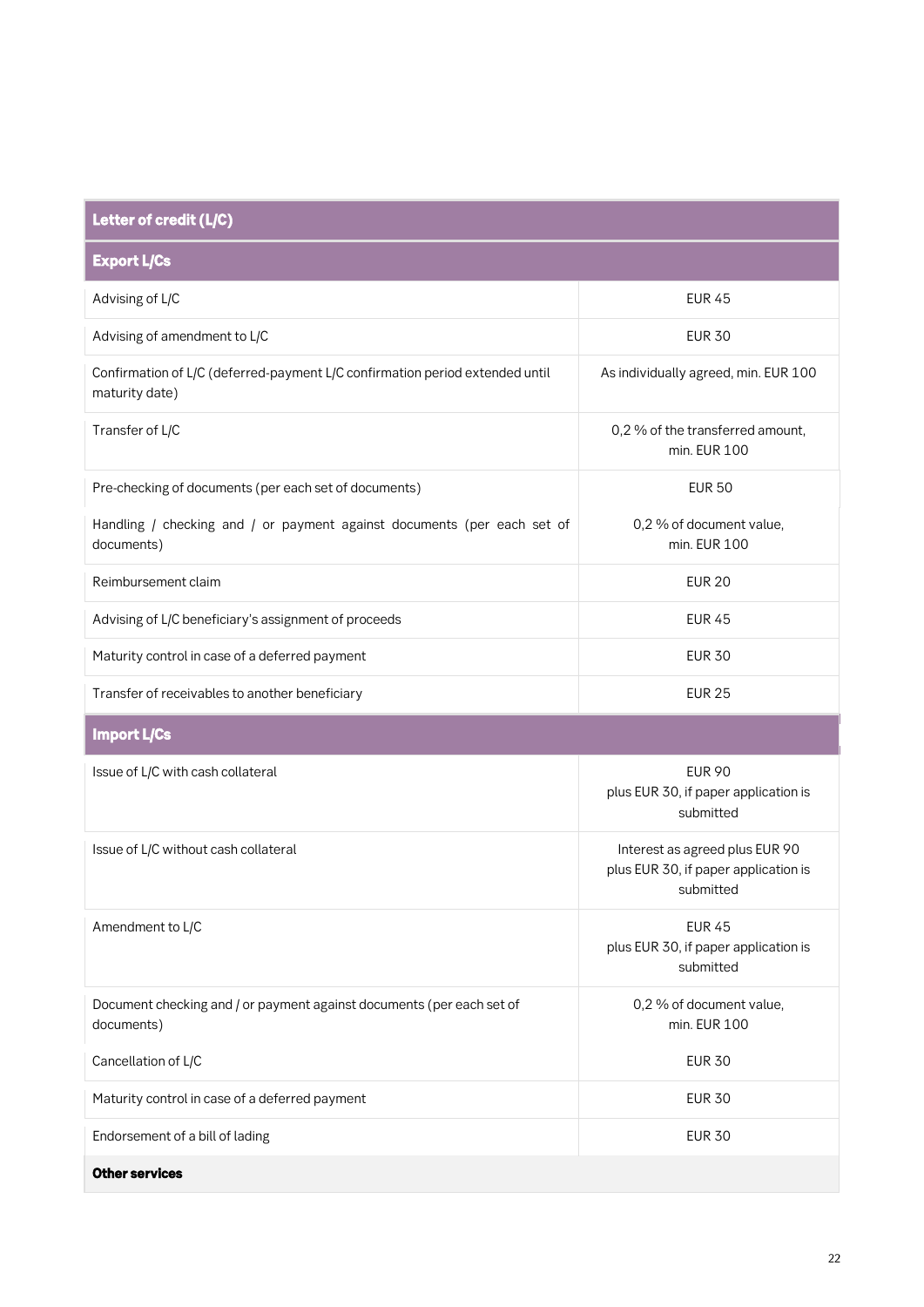| Letter of credit (L/C)                                                                         |                                                                                     |
|------------------------------------------------------------------------------------------------|-------------------------------------------------------------------------------------|
| <b>Export L/Cs</b>                                                                             |                                                                                     |
| Advising of L/C                                                                                | <b>EUR 45</b>                                                                       |
| Advising of amendment to L/C                                                                   | <b>EUR 30</b>                                                                       |
| Confirmation of L/C (deferred-payment L/C confirmation period extended until<br>maturity date) | As individually agreed, min. EUR 100                                                |
| Transfer of L/C                                                                                | 0,2 % of the transferred amount,<br>min. EUR 100                                    |
| Pre-checking of documents (per each set of documents)                                          | <b>EUR 50</b>                                                                       |
| Handling / checking and / or payment against documents (per each set of<br>documents)          | 0,2 % of document value,<br>min. EUR 100                                            |
| Reimbursement claim                                                                            | <b>EUR 20</b>                                                                       |
| Advising of L/C beneficiary's assignment of proceeds                                           | <b>EUR 45</b>                                                                       |
| Maturity control in case of a deferred payment                                                 | <b>EUR 30</b>                                                                       |
| Transfer of receivables to another beneficiary                                                 | <b>EUR 25</b>                                                                       |
| <b>Import L/Cs</b>                                                                             |                                                                                     |
| Issue of L/C with cash collateral                                                              | <b>EUR 90</b><br>plus EUR 30, if paper application is<br>submitted                  |
| Issue of L/C without cash collateral                                                           | Interest as agreed plus EUR 90<br>plus EUR 30, if paper application is<br>submitted |
| Amendment to L/C                                                                               | <b>EUR 45</b><br>plus EUR 30, if paper application is<br>submitted                  |
| Document checking and / or payment against documents (per each set of<br>documents)            | 0,2 % of document value,<br>min. EUR 100                                            |
| Cancellation of L/C                                                                            | <b>EUR 30</b>                                                                       |
| Maturity control in case of a deferred payment                                                 | <b>EUR 30</b>                                                                       |
| Endorsement of a bill of lading                                                                | <b>EUR 30</b>                                                                       |
| <b>Other services</b>                                                                          |                                                                                     |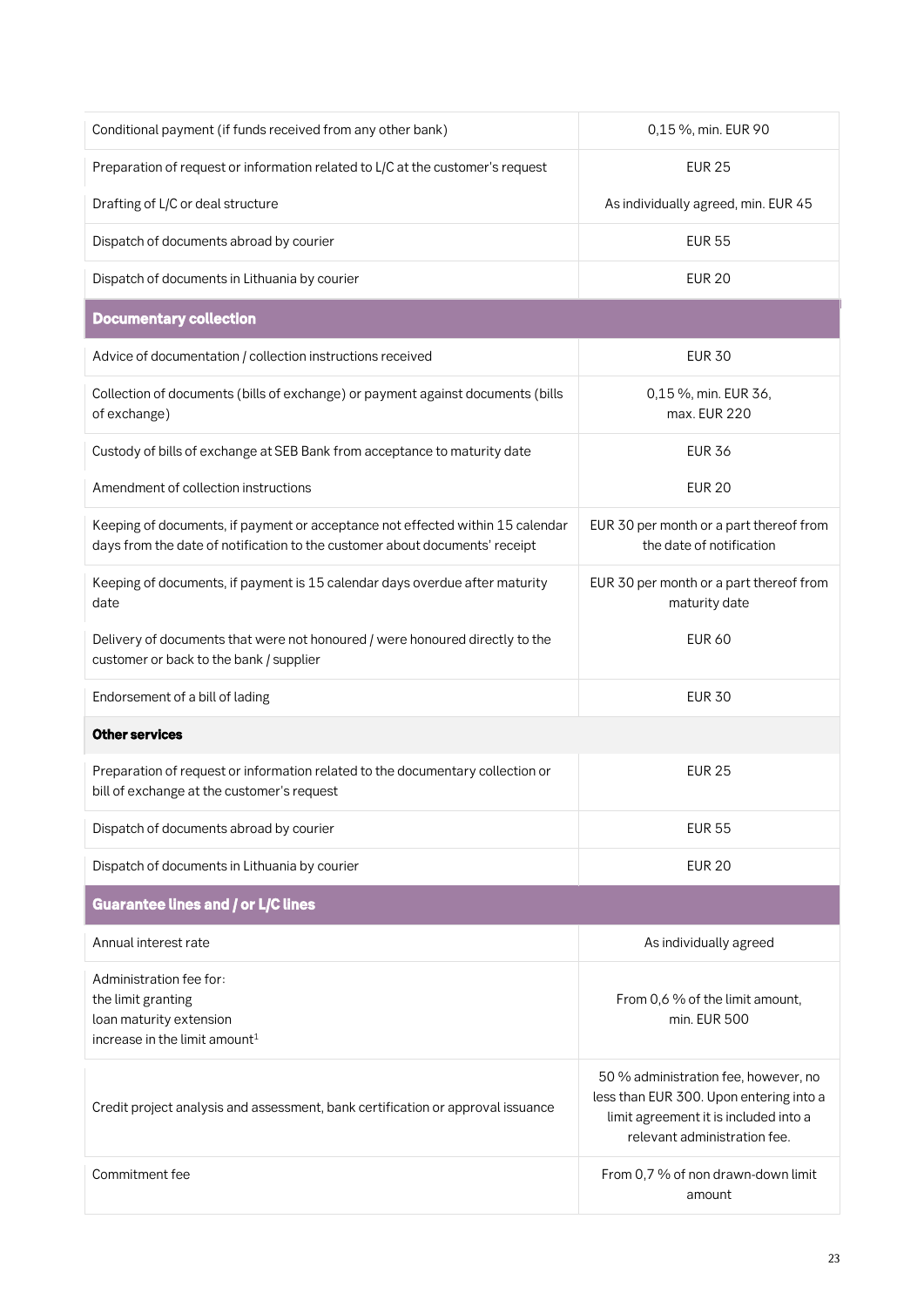| Conditional payment (if funds received from any other bank)                                                                                                   | 0,15 %, min. EUR 90                                                                                                                                      |  |
|---------------------------------------------------------------------------------------------------------------------------------------------------------------|----------------------------------------------------------------------------------------------------------------------------------------------------------|--|
| Preparation of request or information related to L/C at the customer's request                                                                                | <b>EUR 25</b>                                                                                                                                            |  |
| Drafting of L/C or deal structure                                                                                                                             | As individually agreed, min. EUR 45                                                                                                                      |  |
| Dispatch of documents abroad by courier                                                                                                                       | <b>EUR 55</b>                                                                                                                                            |  |
| Dispatch of documents in Lithuania by courier                                                                                                                 | <b>EUR 20</b>                                                                                                                                            |  |
| <b>Documentary collection</b>                                                                                                                                 |                                                                                                                                                          |  |
| Advice of documentation / collection instructions received                                                                                                    | <b>EUR 30</b>                                                                                                                                            |  |
| Collection of documents (bills of exchange) or payment against documents (bills<br>of exchange)                                                               | 0,15 %, min. EUR 36,<br>max. EUR 220                                                                                                                     |  |
| Custody of bills of exchange at SEB Bank from acceptance to maturity date                                                                                     | <b>EUR 36</b>                                                                                                                                            |  |
| Amendment of collection instructions                                                                                                                          | <b>EUR 20</b>                                                                                                                                            |  |
| Keeping of documents, if payment or acceptance not effected within 15 calendar<br>days from the date of notification to the customer about documents' receipt | EUR 30 per month or a part thereof from<br>the date of notification                                                                                      |  |
| Keeping of documents, if payment is 15 calendar days overdue after maturity<br>date                                                                           | EUR 30 per month or a part thereof from<br>maturity date                                                                                                 |  |
| Delivery of documents that were not honoured / were honoured directly to the<br>customer or back to the bank / supplier                                       | <b>EUR 60</b>                                                                                                                                            |  |
| Endorsement of a bill of lading                                                                                                                               | <b>EUR 30</b>                                                                                                                                            |  |
| <b>Other services</b>                                                                                                                                         |                                                                                                                                                          |  |
| Preparation of request or information related to the documentary collection or<br>bill of exchange at the customer's request                                  | <b>EUR 25</b>                                                                                                                                            |  |
| Dispatch of documents abroad by courier                                                                                                                       | <b>EUR 55</b>                                                                                                                                            |  |
| Dispatch of documents in Lithuania by courier                                                                                                                 | <b>EUR 20</b>                                                                                                                                            |  |
| <b>Guarantee lines and / or L/C lines</b>                                                                                                                     |                                                                                                                                                          |  |
| Annual interest rate                                                                                                                                          | As individually agreed                                                                                                                                   |  |
| Administration fee for:<br>the limit granting<br>loan maturity extension<br>increase in the limit amount <sup>1</sup>                                         | From 0,6 % of the limit amount,<br>min. EUR 500                                                                                                          |  |
| Credit project analysis and assessment, bank certification or approval issuance                                                                               | 50 % administration fee, however, no<br>less than EUR 300. Upon entering into a<br>limit agreement it is included into a<br>relevant administration fee. |  |
| Commitment fee                                                                                                                                                | From 0,7 % of non drawn-down limit<br>amount                                                                                                             |  |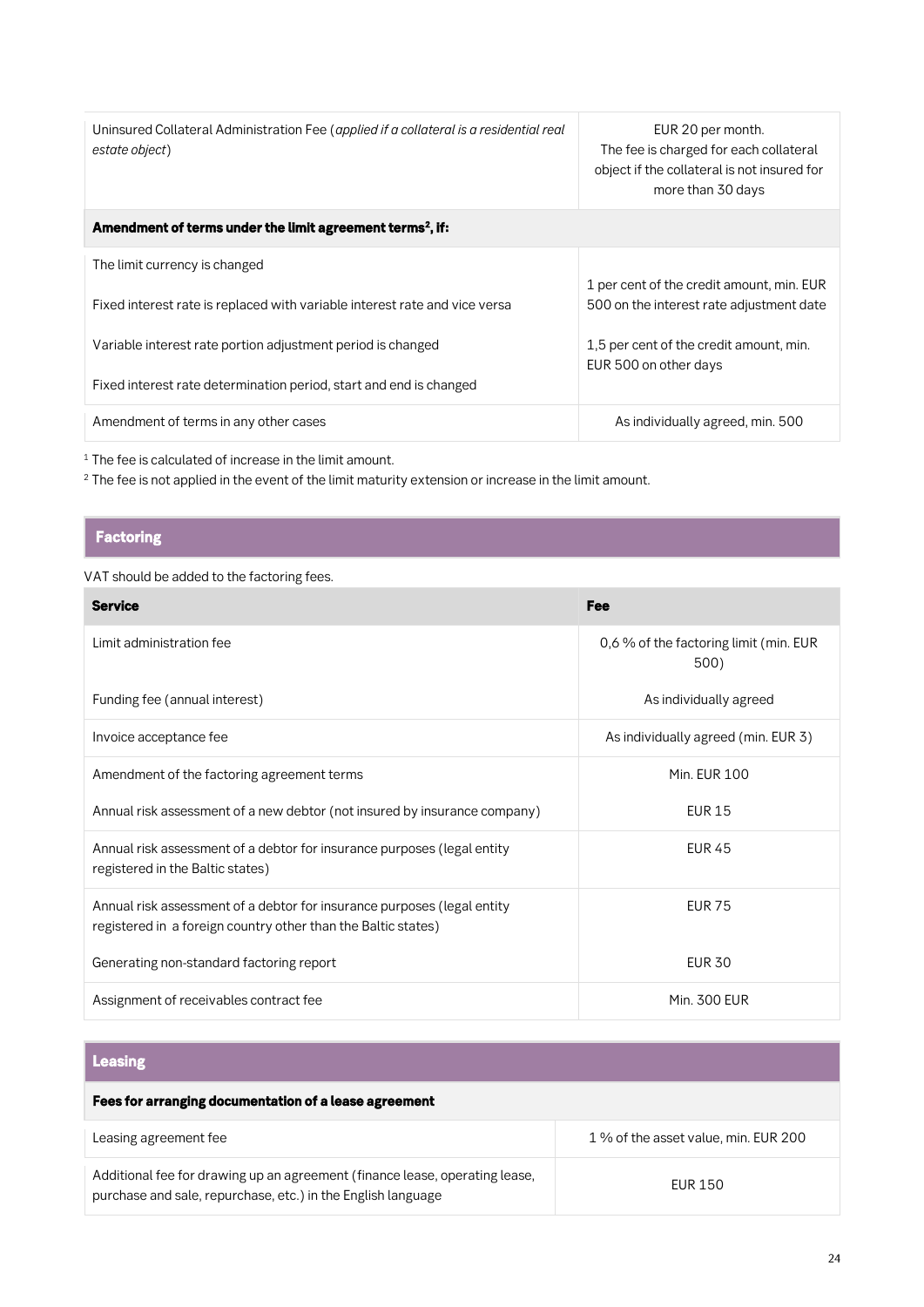| Uninsured Collateral Administration Fee (applied if a collateral is a residential real<br>estate object) | EUR 20 per month.<br>The fee is charged for each collateral<br>object if the collateral is not insured for<br>more than 30 days |
|----------------------------------------------------------------------------------------------------------|---------------------------------------------------------------------------------------------------------------------------------|
| Amendment of terms under the limit agreement terms <sup>2</sup> , if:                                    |                                                                                                                                 |
| The limit currency is changed                                                                            |                                                                                                                                 |
| Fixed interest rate is replaced with variable interest rate and vice versa                               | 1 per cent of the credit amount, min. EUR<br>500 on the interest rate adjustment date                                           |
| Variable interest rate portion adjustment period is changed                                              | 1,5 per cent of the credit amount, min.<br>EUR 500 on other days                                                                |
| Fixed interest rate determination period, start and end is changed                                       |                                                                                                                                 |
| Amendment of terms in any other cases                                                                    | As individually agreed, min. 500                                                                                                |
|                                                                                                          |                                                                                                                                 |

**<sup>1</sup> The fee is calculated of increase in the limit amount.**

**<sup>2</sup> The fee is not applied in the event of the limit maturity extension or increase in the limit amount.**

### *Factoring*

### **VAT should be added to the factoring fees.**

| <b>Service</b>                                                                                                                           | Fee                                            |
|------------------------------------------------------------------------------------------------------------------------------------------|------------------------------------------------|
| Limit administration fee                                                                                                                 | 0,6 % of the factoring limit (min. EUR<br>500) |
| Funding fee (annual interest)                                                                                                            | As individually agreed                         |
| Invoice acceptance fee                                                                                                                   | As individually agreed (min. EUR 3)            |
| Amendment of the factoring agreement terms                                                                                               | <b>Min. EUR 100</b>                            |
| Annual risk assessment of a new debtor (not insured by insurance company)                                                                | <b>EUR 15</b>                                  |
| Annual risk assessment of a debtor for insurance purposes (legal entity<br>registered in the Baltic states)                              | <b>EUR 45</b>                                  |
| Annual risk assessment of a debtor for insurance purposes (legal entity<br>registered in a foreign country other than the Baltic states) | <b>EUR 75</b>                                  |
| Generating non-standard factoring report                                                                                                 | <b>EUR 30</b>                                  |
| Assignment of receivables contract fee                                                                                                   | <b>Min. 300 EUR</b>                            |

## *Leasing*

| Fees for arranging documentation of a lease agreement                                                                                       |                                      |
|---------------------------------------------------------------------------------------------------------------------------------------------|--------------------------------------|
| Leasing agreement fee                                                                                                                       | 1 % of the asset value, min. EUR 200 |
| Additional fee for drawing up an agreement (finance lease, operating lease,<br>purchase and sale, repurchase, etc.) in the English language | <b>FUR 150</b>                       |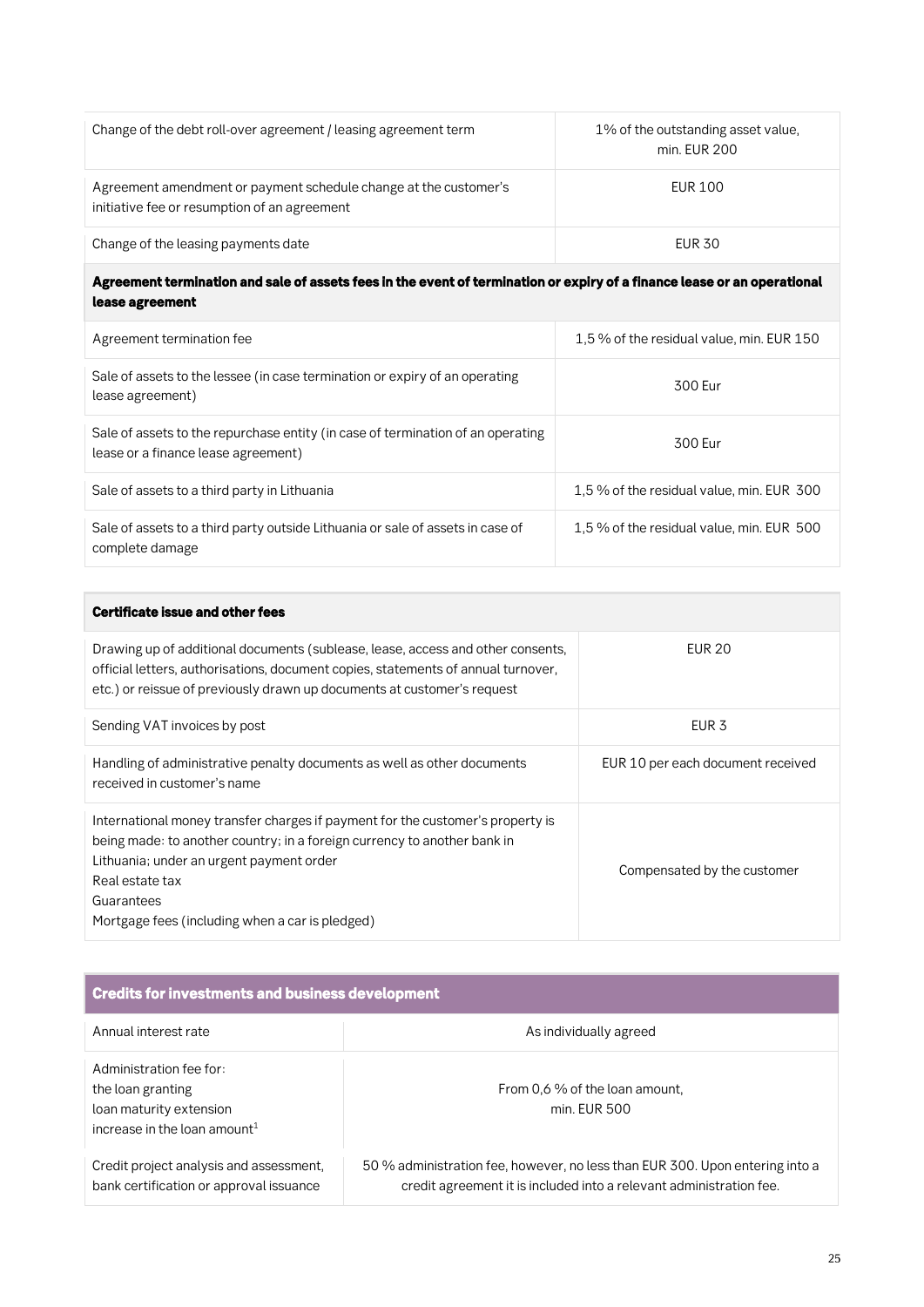| Change of the debt roll-over agreement / leasing agreement term                                                  | 1% of the outstanding asset value,<br>min. EUR 200 |
|------------------------------------------------------------------------------------------------------------------|----------------------------------------------------|
| Agreement amendment or payment schedule change at the customer's<br>initiative fee or resumption of an agreement | EUR 100                                            |
| Change of the leasing payments date                                                                              | <b>EUR 30</b>                                      |

### *Agreement termination and sale of assets fees in the event of termination or expiry of a finance lease or an operational lease agreement*

| Agreement termination fee                                                                                              | 1,5% of the residual value, min. EUR 150 |  |
|------------------------------------------------------------------------------------------------------------------------|------------------------------------------|--|
| Sale of assets to the lessee (in case termination or expiry of an operating<br>lease agreement)                        | 300 Fur                                  |  |
| Sale of assets to the repurchase entity (in case of termination of an operating<br>lease or a finance lease agreement) | 300 Fur                                  |  |
| Sale of assets to a third party in Lithuania                                                                           | 1,5% of the residual value, min. EUR 300 |  |
| Sale of assets to a third party outside Lithuania or sale of assets in case of<br>complete damage                      | 1,5% of the residual value, min. EUR 500 |  |

| <b>Certificate issue and other fees</b>                                                                                                                                                                                                                                                    |                                   |
|--------------------------------------------------------------------------------------------------------------------------------------------------------------------------------------------------------------------------------------------------------------------------------------------|-----------------------------------|
| Drawing up of additional documents (sublease, lease, access and other consents,<br>official letters, authorisations, document copies, statements of annual turnover,<br>etc.) or reissue of previously drawn up documents at customer's request                                            | EUR 20                            |
| Sending VAT invoices by post                                                                                                                                                                                                                                                               | EUR <sub>3</sub>                  |
| Handling of administrative penalty documents as well as other documents<br>received in customer's name                                                                                                                                                                                     | EUR 10 per each document received |
| International money transfer charges if payment for the customer's property is<br>being made: to another country; in a foreign currency to another bank in<br>Lithuania; under an urgent payment order<br>Real estate tax<br>Guarantees<br>Mortgage fees (including when a car is pledged) | Compensated by the customer       |

| <b>Credits for investments and business development</b>                                                             |                                                                                                                                                     |  |  |
|---------------------------------------------------------------------------------------------------------------------|-----------------------------------------------------------------------------------------------------------------------------------------------------|--|--|
| Annual interest rate                                                                                                | As individually agreed                                                                                                                              |  |  |
| Administration fee for:<br>the loan granting<br>loan maturity extension<br>increase in the loan amount <sup>1</sup> | From 0.6 % of the loan amount,<br>min. FUR 500                                                                                                      |  |  |
| Credit project analysis and assessment,<br>bank certification or approval issuance                                  | 50 % administration fee, however, no less than EUR 300. Upon entering into a<br>credit agreement it is included into a relevant administration fee. |  |  |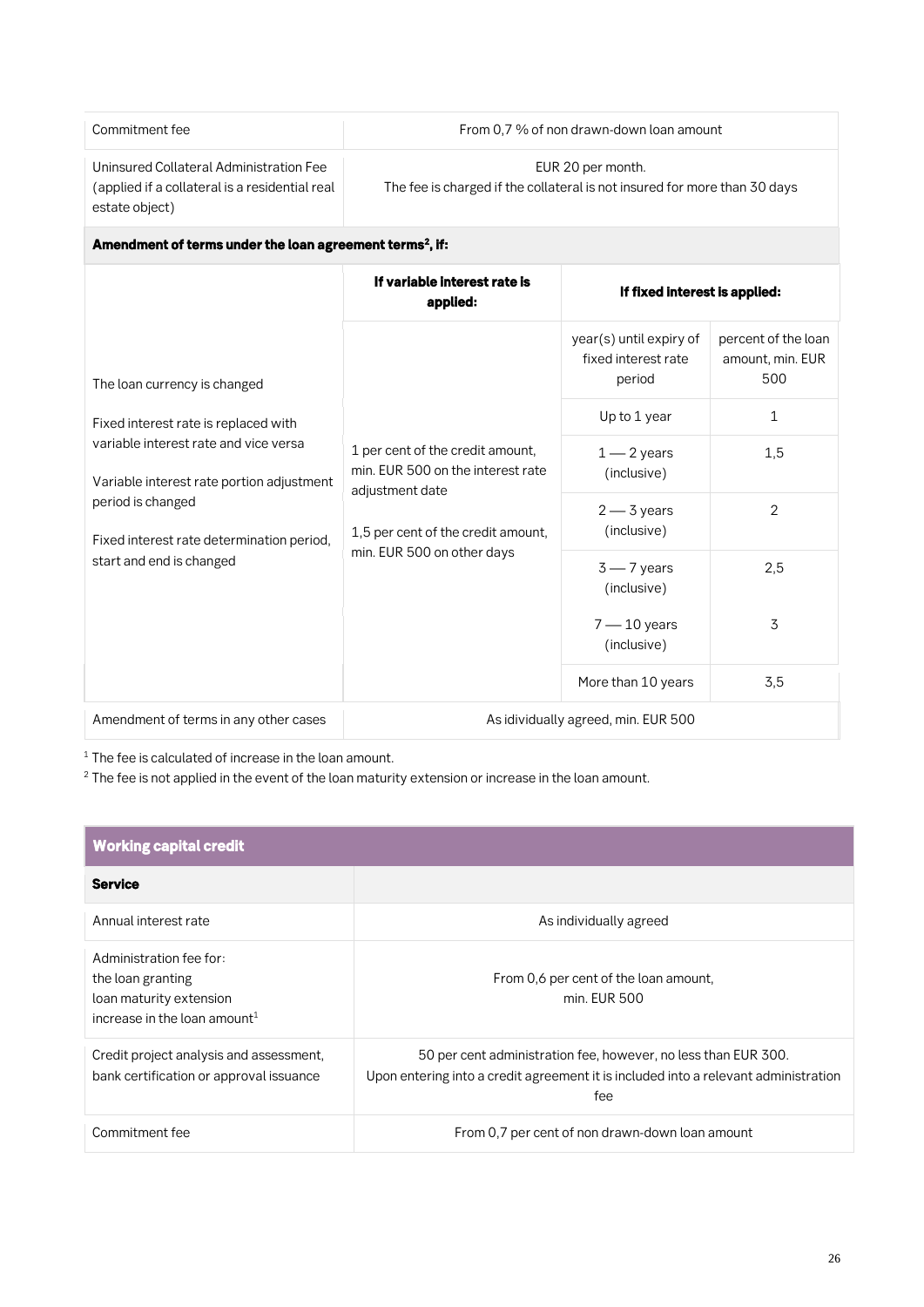**Commitment fee From 0,7 % of non drawn-down loan amount**

**Uninsured Collateral Administration Fee (applied if a collateral is a residential real estate object)**

**EUR 20 per month. The fee is charged if the collateral is not insured for more than 30 days**

| Amendment of terms under the loan agreement terms <sup>2</sup> , if:               |                                                                                                                                                              |                                                          |                                                |
|------------------------------------------------------------------------------------|--------------------------------------------------------------------------------------------------------------------------------------------------------------|----------------------------------------------------------|------------------------------------------------|
|                                                                                    | If variable interest rate is<br>If fixed interest is applied:<br>applied:                                                                                    |                                                          |                                                |
| The loan currency is changed<br>Fixed interest rate is replaced with               | 1 per cent of the credit amount,<br>min. EUR 500 on the interest rate<br>adjustment date<br>1,5 per cent of the credit amount,<br>min. EUR 500 on other days | year(s) until expiry of<br>fixed interest rate<br>period | percent of the loan<br>amount, min. EUR<br>500 |
|                                                                                    |                                                                                                                                                              | Up to 1 year                                             | 1                                              |
| variable interest rate and vice versa<br>Variable interest rate portion adjustment |                                                                                                                                                              | $1 - 2$ years<br>(inclusive)                             | 1,5                                            |
| period is changed<br>Fixed interest rate determination period,                     |                                                                                                                                                              | $2 - 3$ years<br>(inclusive)                             | $\overline{2}$                                 |
| start and end is changed                                                           |                                                                                                                                                              | $3 - 7$ years<br>(inclusive)                             | 2,5                                            |
|                                                                                    |                                                                                                                                                              | $7 - 10$ years<br>(inclusive)                            | 3                                              |
|                                                                                    |                                                                                                                                                              | More than 10 years                                       | 3,5                                            |
| Amendment of terms in any other cases                                              | As idividually agreed, min. EUR 500                                                                                                                          |                                                          |                                                |

**<sup>1</sup> The fee is calculated of increase in the loan amount.**

**<sup>2</sup> The fee is not applied in the event of the loan maturity extension or increase in the loan amount.**

| <b>Working capital credit</b>                                                                                       |                                                                                                                                                              |
|---------------------------------------------------------------------------------------------------------------------|--------------------------------------------------------------------------------------------------------------------------------------------------------------|
| <b>Service</b>                                                                                                      |                                                                                                                                                              |
| Annual interest rate                                                                                                | As individually agreed                                                                                                                                       |
| Administration fee for:<br>the loan granting<br>loan maturity extension<br>increase in the loan amount <sup>1</sup> | From 0,6 per cent of the loan amount,<br>min. EUR 500                                                                                                        |
| Credit project analysis and assessment,<br>bank certification or approval issuance                                  | 50 per cent administration fee, however, no less than EUR 300.<br>Upon entering into a credit agreement it is included into a relevant administration<br>fee |
| Commitment fee                                                                                                      | From 0.7 per cent of non drawn-down loan amount                                                                                                              |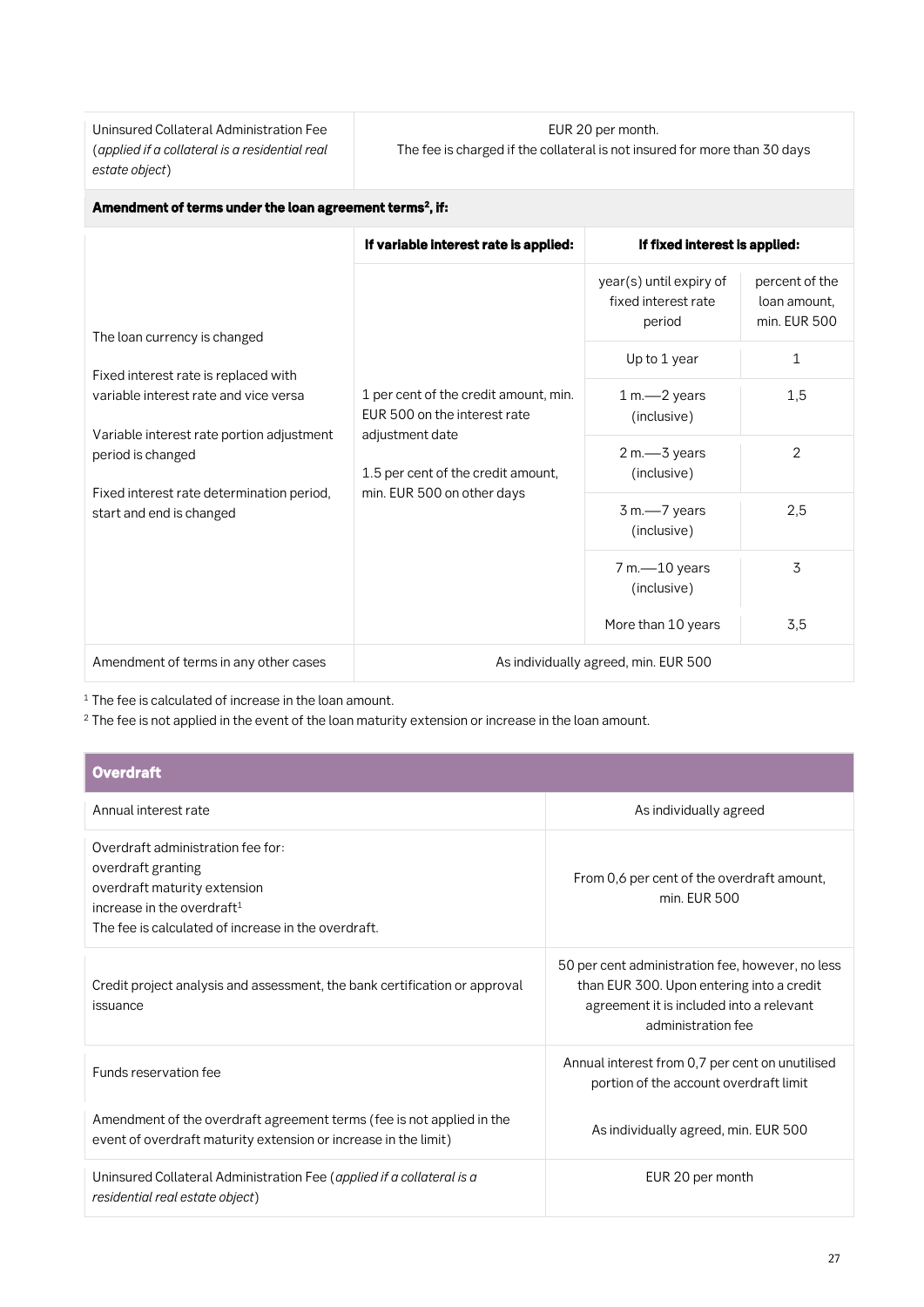**Uninsured Collateral Administration Fee (***applied if a collateral is a residential real estate object***)**

#### **EUR 20 per month. The fee is charged if the collateral is not insured for more than 30 days**

| Amendment of terms under the loan agreement terms <sup>2</sup> , if:          |                                                                                                                                                              |                                                          |                                                |
|-------------------------------------------------------------------------------|--------------------------------------------------------------------------------------------------------------------------------------------------------------|----------------------------------------------------------|------------------------------------------------|
|                                                                               | If variable interest rate is applied:                                                                                                                        | If fixed interest is applied:                            |                                                |
| The loan currency is changed                                                  | 1 per cent of the credit amount, min.<br>EUR 500 on the interest rate<br>adjustment date<br>1.5 per cent of the credit amount,<br>min. EUR 500 on other days | year(s) until expiry of<br>fixed interest rate<br>period | percent of the<br>loan amount.<br>min. EUR 500 |
|                                                                               |                                                                                                                                                              | Up to 1 year                                             | 1                                              |
| Fixed interest rate is replaced with<br>variable interest rate and vice versa |                                                                                                                                                              | 1 m.-2 years<br>(inclusive)                              | 1,5                                            |
| Variable interest rate portion adjustment<br>period is changed                |                                                                                                                                                              | 2 m.-S years<br>(inclusive)                              | $\overline{2}$                                 |
| Fixed interest rate determination period,<br>start and end is changed         |                                                                                                                                                              | 3 m.-7 years<br>(inclusive)                              | 2,5                                            |
|                                                                               |                                                                                                                                                              | 7 m.-10 years<br>(inclusive)                             | 3                                              |
|                                                                               |                                                                                                                                                              | More than 10 years                                       | 3,5                                            |
| Amendment of terms in any other cases                                         | As individually agreed, min. EUR 500                                                                                                                         |                                                          |                                                |

**<sup>1</sup> The fee is calculated of increase in the loan amount.**

**<sup>2</sup> The fee is not applied in the event of the loan maturity extension or increase in the loan amount.**

| <b>Overdraft</b>                                                                                                                                                                |                                                                                                                                                                 |  |  |
|---------------------------------------------------------------------------------------------------------------------------------------------------------------------------------|-----------------------------------------------------------------------------------------------------------------------------------------------------------------|--|--|
| Annual interest rate                                                                                                                                                            | As individually agreed                                                                                                                                          |  |  |
| Overdraft administration fee for:<br>overdraft granting<br>overdraft maturity extension<br>increase in the overdraft $1$<br>The fee is calculated of increase in the overdraft. | From 0,6 per cent of the overdraft amount,<br>min. EUR 500                                                                                                      |  |  |
| Credit project analysis and assessment, the bank certification or approval<br>issuance                                                                                          | 50 per cent administration fee, however, no less<br>than EUR 300. Upon entering into a credit<br>agreement it is included into a relevant<br>administration fee |  |  |
| Funds reservation fee                                                                                                                                                           | Annual interest from 0,7 per cent on unutilised<br>portion of the account overdraft limit                                                                       |  |  |
| Amendment of the overdraft agreement terms (fee is not applied in the<br>event of overdraft maturity extension or increase in the limit)                                        | As individually agreed, min. EUR 500                                                                                                                            |  |  |
| Uninsured Collateral Administration Fee (applied if a collateral is a<br>residential real estate object)                                                                        | EUR 20 per month                                                                                                                                                |  |  |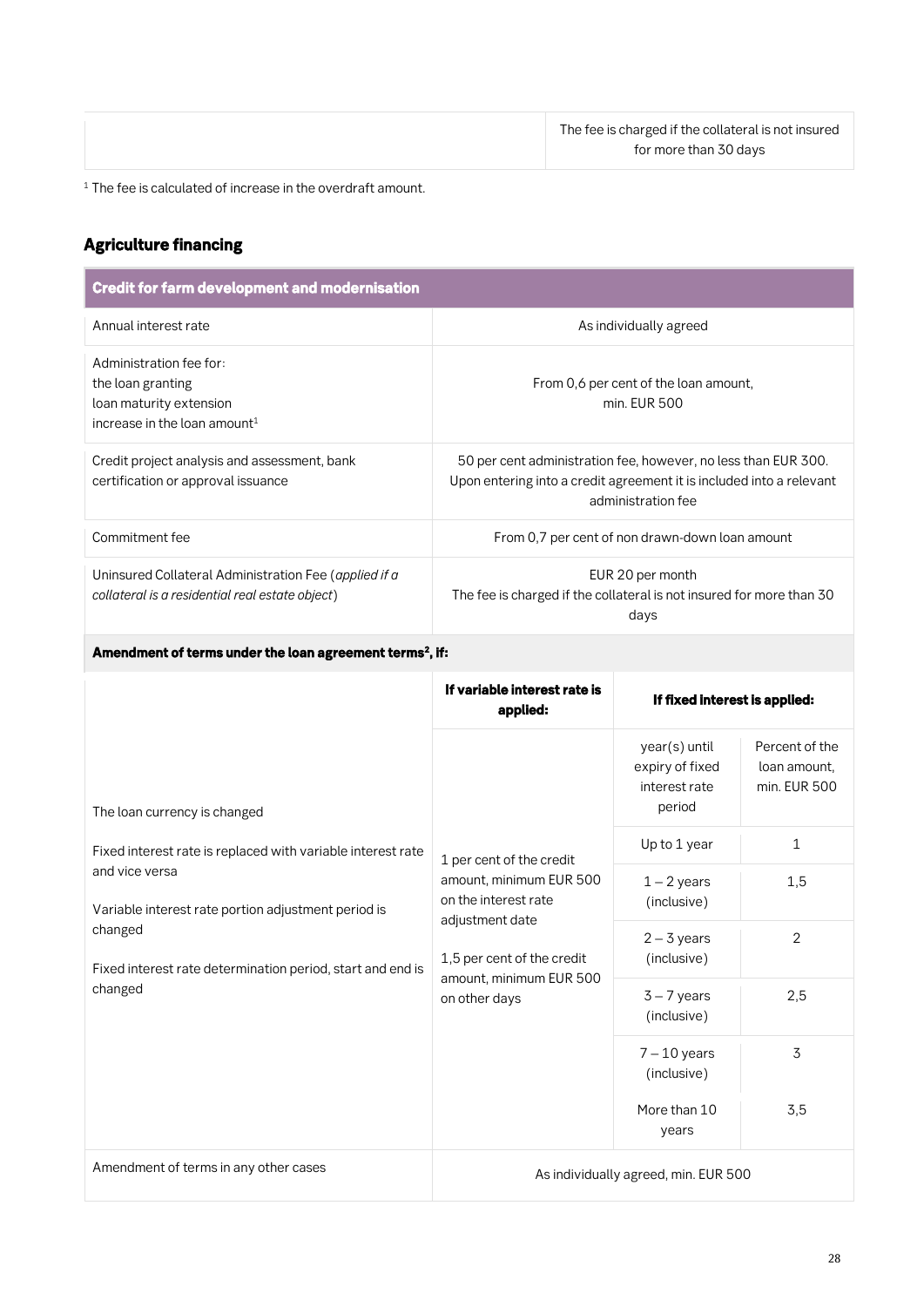**<sup>1</sup> The fee is calculated of increase in the overdraft amount.**

### *Agriculture financing*

| <b>Credit for farm development and modernisation</b>                                                                                                      |                                                                                                                                                                          |                                                             |                                                |
|-----------------------------------------------------------------------------------------------------------------------------------------------------------|--------------------------------------------------------------------------------------------------------------------------------------------------------------------------|-------------------------------------------------------------|------------------------------------------------|
| Annual interest rate                                                                                                                                      |                                                                                                                                                                          | As individually agreed                                      |                                                |
| Administration fee for:<br>the loan granting<br>loan maturity extension<br>increase in the loan amount <sup>1</sup>                                       | From 0,6 per cent of the loan amount,<br>min. EUR 500                                                                                                                    |                                                             |                                                |
| Credit project analysis and assessment, bank<br>certification or approval issuance                                                                        | 50 per cent administration fee, however, no less than EUR 300.<br>Upon entering into a credit agreement it is included into a relevant<br>administration fee             |                                                             |                                                |
| Commitment fee                                                                                                                                            |                                                                                                                                                                          | From 0,7 per cent of non drawn-down loan amount             |                                                |
| Uninsured Collateral Administration Fee (applied if a<br>collateral is a residential real estate object)                                                  | EUR 20 per month<br>The fee is charged if the collateral is not insured for more than 30<br>days                                                                         |                                                             |                                                |
| Amendment of terms under the loan agreement terms <sup>2</sup> , if:                                                                                      |                                                                                                                                                                          |                                                             |                                                |
|                                                                                                                                                           | If variable interest rate is<br>applied:                                                                                                                                 | If fixed interest is applied:                               |                                                |
| The loan currency is changed                                                                                                                              |                                                                                                                                                                          | year(s) until<br>expiry of fixed<br>interest rate<br>period | Percent of the<br>loan amount,<br>min. EUR 500 |
| Fixed interest rate is replaced with variable interest rate                                                                                               | 1 per cent of the credit<br>amount, minimum EUR 500<br>on the interest rate<br>adjustment date<br>1,5 per cent of the credit<br>amount, minimum EUR 500<br>on other days | Up to 1 year                                                | 1                                              |
| and vice versa<br>Variable interest rate portion adjustment period is<br>changed<br>Fixed interest rate determination period, start and end is<br>changed |                                                                                                                                                                          | $1 - 2$ years<br>(inclusive)                                | 1,5                                            |
|                                                                                                                                                           |                                                                                                                                                                          | $2 - 3$ years<br>(inclusive)                                | 2                                              |
|                                                                                                                                                           |                                                                                                                                                                          | $3 - 7$ years<br>(inclusive)                                | 2,5                                            |
|                                                                                                                                                           |                                                                                                                                                                          | $7 - 10$ years<br>(inclusive)                               | 3                                              |
|                                                                                                                                                           |                                                                                                                                                                          | More than 10<br>years                                       | 3,5                                            |
| Amendment of terms in any other cases                                                                                                                     |                                                                                                                                                                          | As individually agreed, min. EUR 500                        |                                                |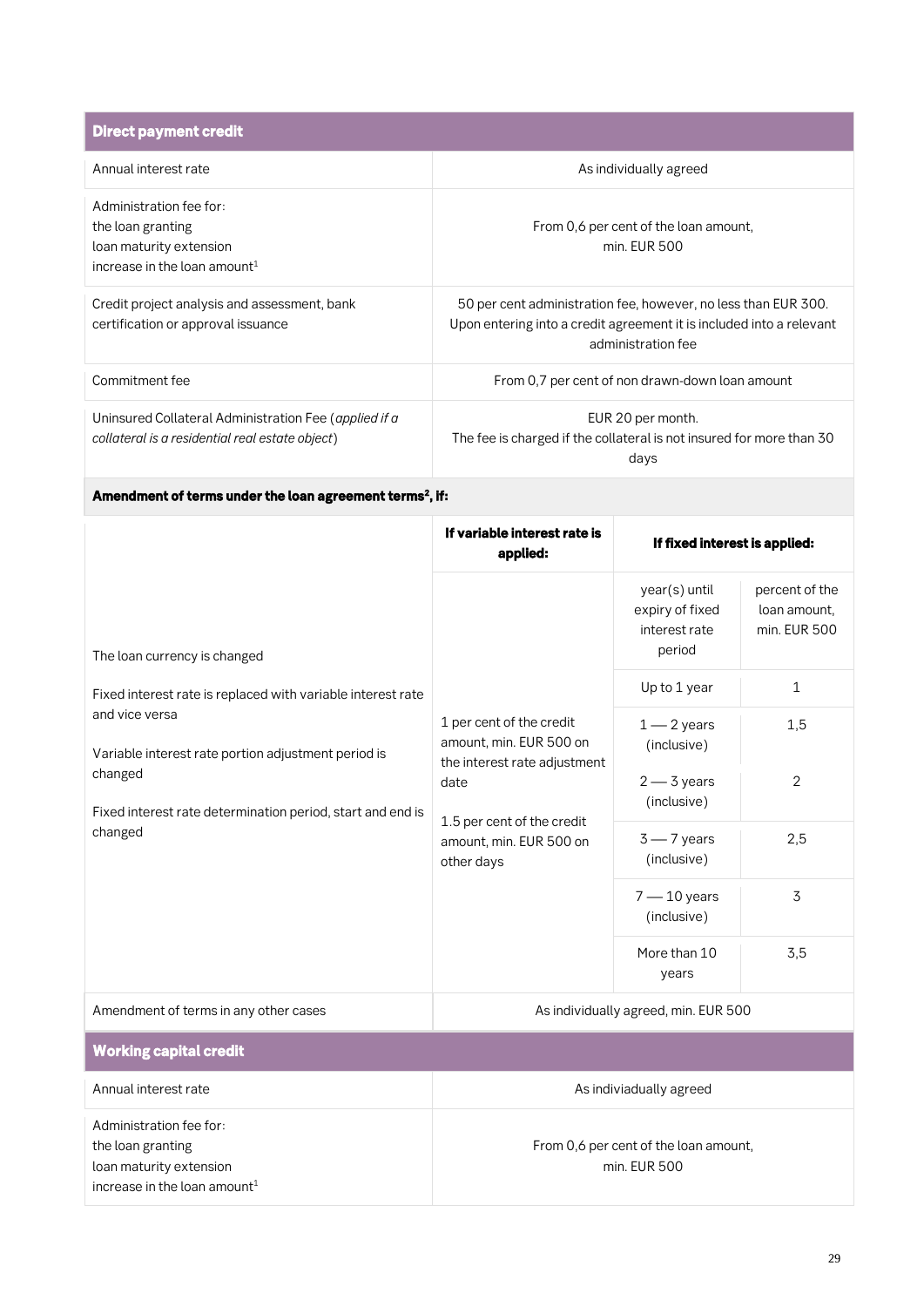| <b>Direct payment credit</b>                                                                                        |                                                                                                                                                              |
|---------------------------------------------------------------------------------------------------------------------|--------------------------------------------------------------------------------------------------------------------------------------------------------------|
| Annual interest rate                                                                                                | As individually agreed                                                                                                                                       |
| Administration fee for:<br>the loan granting<br>loan maturity extension<br>increase in the loan amount <sup>1</sup> | From 0,6 per cent of the loan amount,<br>min. EUR 500                                                                                                        |
| Credit project analysis and assessment, bank<br>certification or approval issuance                                  | 50 per cent administration fee, however, no less than EUR 300.<br>Upon entering into a credit agreement it is included into a relevant<br>administration fee |
| Commitment fee                                                                                                      | From 0,7 per cent of non drawn-down loan amount                                                                                                              |
| Uninsured Collateral Administration Fee (applied if a<br>collateral is a residential real estate object)            | EUR 20 per month.<br>The fee is charged if the collateral is not insured for more than 30<br>days                                                            |

#### *Amendment of terms under the loan agreement terms<sup>2</sup> , if:*

|                                                                                                                                                                                                                          | If variable interest rate is<br>applied:                                                                                                                           | If fixed interest is applied:                               |                                                |
|--------------------------------------------------------------------------------------------------------------------------------------------------------------------------------------------------------------------------|--------------------------------------------------------------------------------------------------------------------------------------------------------------------|-------------------------------------------------------------|------------------------------------------------|
| The loan currency is changed                                                                                                                                                                                             |                                                                                                                                                                    | year(s) until<br>expiry of fixed<br>interest rate<br>period | percent of the<br>loan amount.<br>min. EUR 500 |
| Fixed interest rate is replaced with variable interest rate<br>and vice versa<br>Variable interest rate portion adjustment period is<br>changed<br>Fixed interest rate determination period, start and end is<br>changed | 1 per cent of the credit<br>amount, min. EUR 500 on<br>the interest rate adjustment<br>date<br>1.5 per cent of the credit<br>amount, min. EUR 500 on<br>other days | Up to 1 year                                                | $\mathbf{1}$                                   |
|                                                                                                                                                                                                                          |                                                                                                                                                                    | $1 - 2$ years<br>(inclusive)                                | 1,5                                            |
|                                                                                                                                                                                                                          |                                                                                                                                                                    | $2 - 3$ years<br>(inclusive)                                | $\overline{2}$                                 |
|                                                                                                                                                                                                                          |                                                                                                                                                                    | $3 - 7$ years<br>(inclusive)                                | 2,5                                            |
|                                                                                                                                                                                                                          |                                                                                                                                                                    | $7 - 10$ years<br>(inclusive)                               | 3                                              |
|                                                                                                                                                                                                                          |                                                                                                                                                                    | More than 10<br>years                                       | 3,5                                            |

Amendment of terms in any other cases **All and EUR 500** As individually agreed, min. EUR 500

#### *Working capital credit*  **Annual interest rate As indiviadually agreed Administration fee for: the loan granting loan maturity extension increase in the loan amount<sup>1</sup> From 0,6 per cent of the loan amount, min. EUR 500**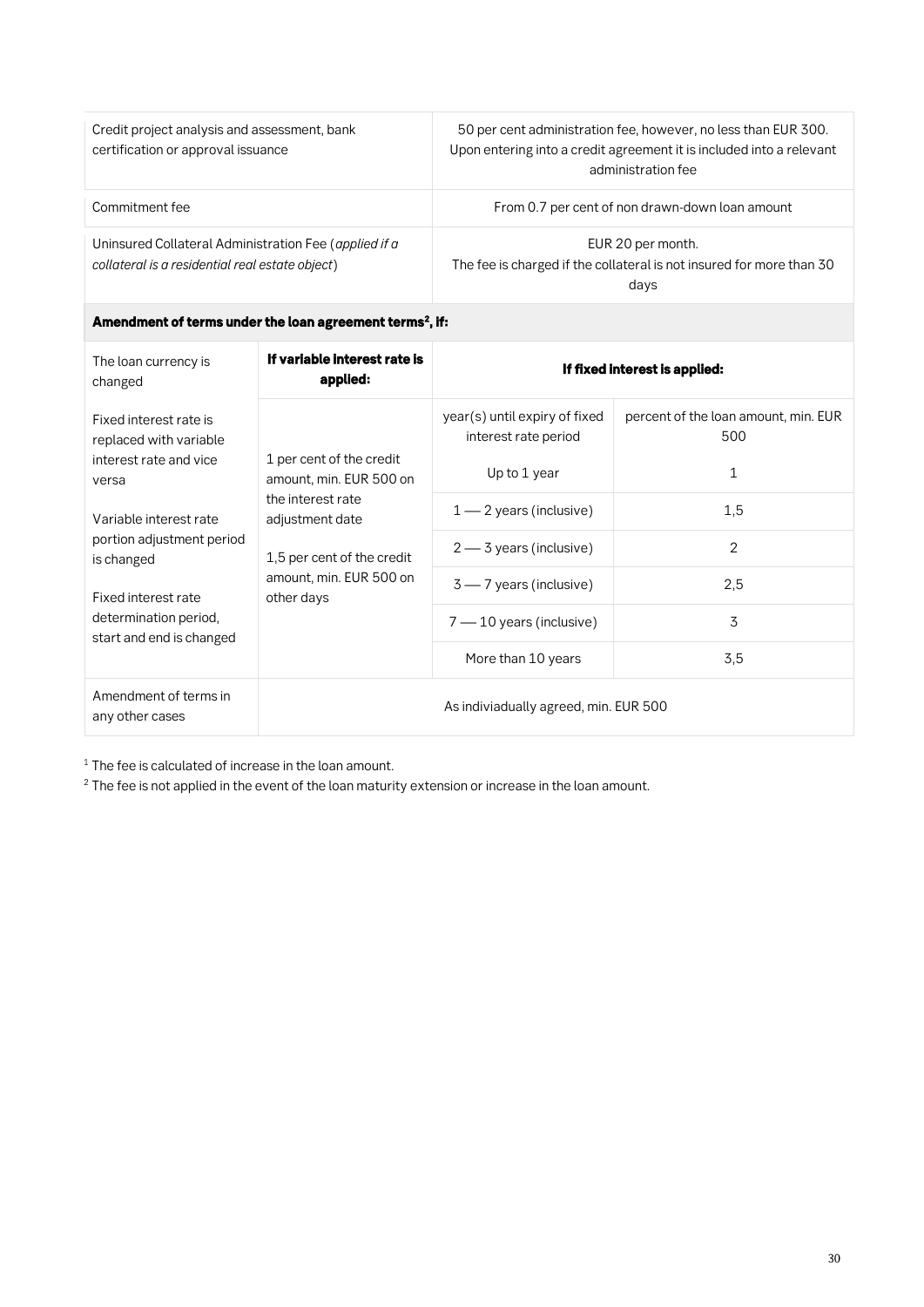| Credit project analysis and assessment, bank<br>certification or approval issuance                       | 50 per cent administration fee, however, no less than EUR 300.<br>Upon entering into a credit agreement it is included into a relevant<br>administration fee |
|----------------------------------------------------------------------------------------------------------|--------------------------------------------------------------------------------------------------------------------------------------------------------------|
| Commitment fee                                                                                           | From 0.7 per cent of non drawn-down loan amount                                                                                                              |
| Uninsured Collateral Administration Fee (applied if a<br>collateral is a residential real estate object) | EUR 20 per month.<br>The fee is charged if the collateral is not insured for more than 30<br>days                                                            |

#### *Amendment of terms under the loan agreement terms<sup>2</sup> , if:*

| The loan currency is<br>changed                           | If variable interest rate is<br>applied:                                                                                                                           | If fixed interest is applied:                         |                                             |
|-----------------------------------------------------------|--------------------------------------------------------------------------------------------------------------------------------------------------------------------|-------------------------------------------------------|---------------------------------------------|
| Fixed interest rate is<br>replaced with variable          |                                                                                                                                                                    | year(s) until expiry of fixed<br>interest rate period | percent of the loan amount, min. EUR<br>500 |
| interest rate and vice<br>versa<br>Variable interest rate | 1 per cent of the credit<br>amount, min. EUR 500 on<br>the interest rate<br>adjustment date<br>1,5 per cent of the credit<br>amount, min. EUR 500 on<br>other days | Up to 1 year                                          | 1                                           |
|                                                           |                                                                                                                                                                    | $1 - 2$ years (inclusive)                             | 1,5                                         |
| portion adjustment period<br>is changed                   |                                                                                                                                                                    | $2 - 3$ years (inclusive)                             | $\overline{2}$                              |
| Fixed interest rate                                       |                                                                                                                                                                    | $3 - 7$ years (inclusive)                             | 2,5                                         |
| determination period,<br>start and end is changed         | 7 — 10 years (inclusive)                                                                                                                                           | 3                                                     |                                             |
|                                                           | More than 10 years                                                                                                                                                 | 3,5                                                   |                                             |
| Amendment of terms in<br>any other cases                  | As indiviadually agreed, min. EUR 500                                                                                                                              |                                                       |                                             |

**<sup>1</sup> The fee is calculated of increase in the loan amount.**

**<sup>2</sup> The fee is not applied in the event of the loan maturity extension or increase in the loan amount.**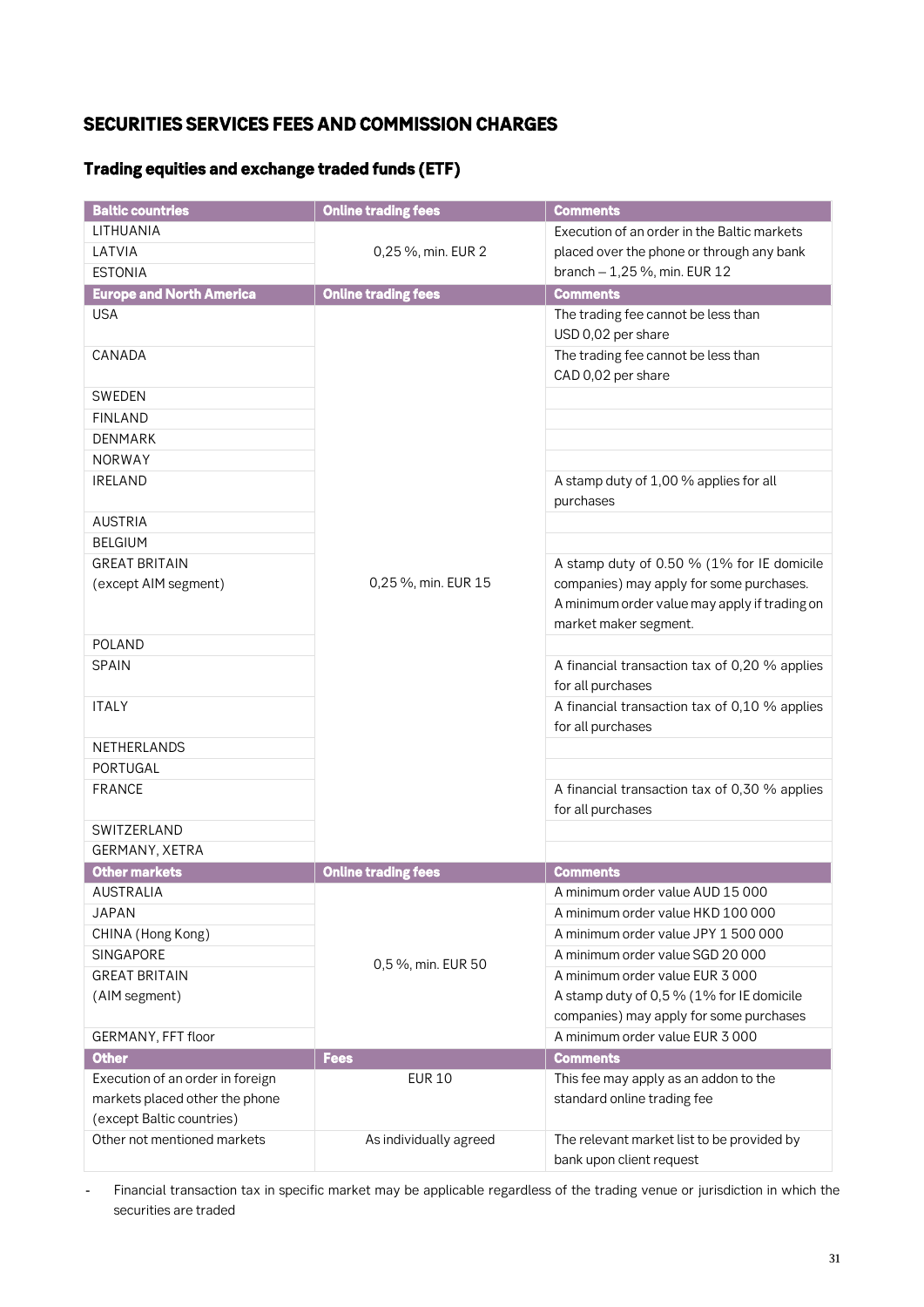### *SECURITIES SERVICES FEES AND COMMISSION CHARGES*

### *Trading equities and exchange traded funds (ETF)*

| <b>Baltic countries</b>          | <b>Online trading fees</b> | <b>Comments</b>                                                                                                    |
|----------------------------------|----------------------------|--------------------------------------------------------------------------------------------------------------------|
| LITHUANIA                        |                            | Execution of an order in the Baltic markets                                                                        |
| LATVIA                           | 0,25 %, min. EUR 2         | placed over the phone or through any bank                                                                          |
| <b>ESTONIA</b>                   |                            | branch - 1,25 %, min. EUR 12                                                                                       |
| <b>Europe and North America</b>  | <b>Online trading fees</b> | <b>Comments</b>                                                                                                    |
| <b>USA</b>                       |                            | The trading fee cannot be less than<br>USD 0,02 per share                                                          |
| CANADA                           |                            | The trading fee cannot be less than<br>CAD 0,02 per share                                                          |
| SWEDEN                           |                            |                                                                                                                    |
| <b>FINLAND</b>                   |                            |                                                                                                                    |
| <b>DENMARK</b>                   |                            |                                                                                                                    |
| <b>NORWAY</b>                    |                            |                                                                                                                    |
| <b>IRELAND</b>                   |                            | A stamp duty of 1,00 % applies for all<br>purchases                                                                |
| <b>AUSTRIA</b>                   |                            |                                                                                                                    |
| <b>BELGIUM</b>                   |                            |                                                                                                                    |
| <b>GREAT BRITAIN</b>             |                            | A stamp duty of 0.50 % (1% for IE domicile                                                                         |
| (except AIM segment)             | 0,25 %, min. EUR 15        | companies) may apply for some purchases.<br>A minimum order value may apply if trading on<br>market maker segment. |
| <b>POLAND</b>                    |                            |                                                                                                                    |
| <b>SPAIN</b>                     |                            | A financial transaction tax of 0,20 % applies<br>for all purchases                                                 |
| <b>ITALY</b>                     |                            | A financial transaction tax of 0,10 % applies<br>for all purchases                                                 |
| NETHERLANDS                      |                            |                                                                                                                    |
| PORTUGAL                         |                            |                                                                                                                    |
| <b>FRANCE</b>                    |                            | A financial transaction tax of 0,30 % applies<br>for all purchases                                                 |
| SWITZERLAND                      |                            |                                                                                                                    |
| GERMANY, XETRA                   |                            |                                                                                                                    |
| <b>Other markets</b>             | <b>Online trading fees</b> | <b>Comments</b>                                                                                                    |
| <b>AUSTRALIA</b>                 |                            | A minimum order value AUD 15 000                                                                                   |
| <b>JAPAN</b>                     |                            | A minimum order value HKD 100 000                                                                                  |
| CHINA (Hong Kong)                |                            | A minimum order value JPY 1 500 000                                                                                |
| SINGAPORE                        | 0,5 %, min. EUR 50         | A minimum order value SGD 20 000                                                                                   |
| <b>GREAT BRITAIN</b>             |                            | A minimum order value EUR 3 000                                                                                    |
| (AIM segment)                    |                            | A stamp duty of 0,5 % (1% for IE domicile                                                                          |
|                                  |                            | companies) may apply for some purchases                                                                            |
| GERMANY, FFT floor               |                            | A minimum order value EUR 3000                                                                                     |
| <b>Other</b>                     | <b>Fees</b>                | <b>Comments</b>                                                                                                    |
| Execution of an order in foreign | <b>EUR 10</b>              | This fee may apply as an addon to the                                                                              |
| markets placed other the phone   |                            | standard online trading fee                                                                                        |
| (except Baltic countries)        |                            |                                                                                                                    |
| Other not mentioned markets      | As individually agreed     | The relevant market list to be provided by<br>bank upon client request                                             |

**Financial transaction tax in specific market may be applicable regardless of the trading venue or jurisdiction in which the**   $\sim$ **securities are traded**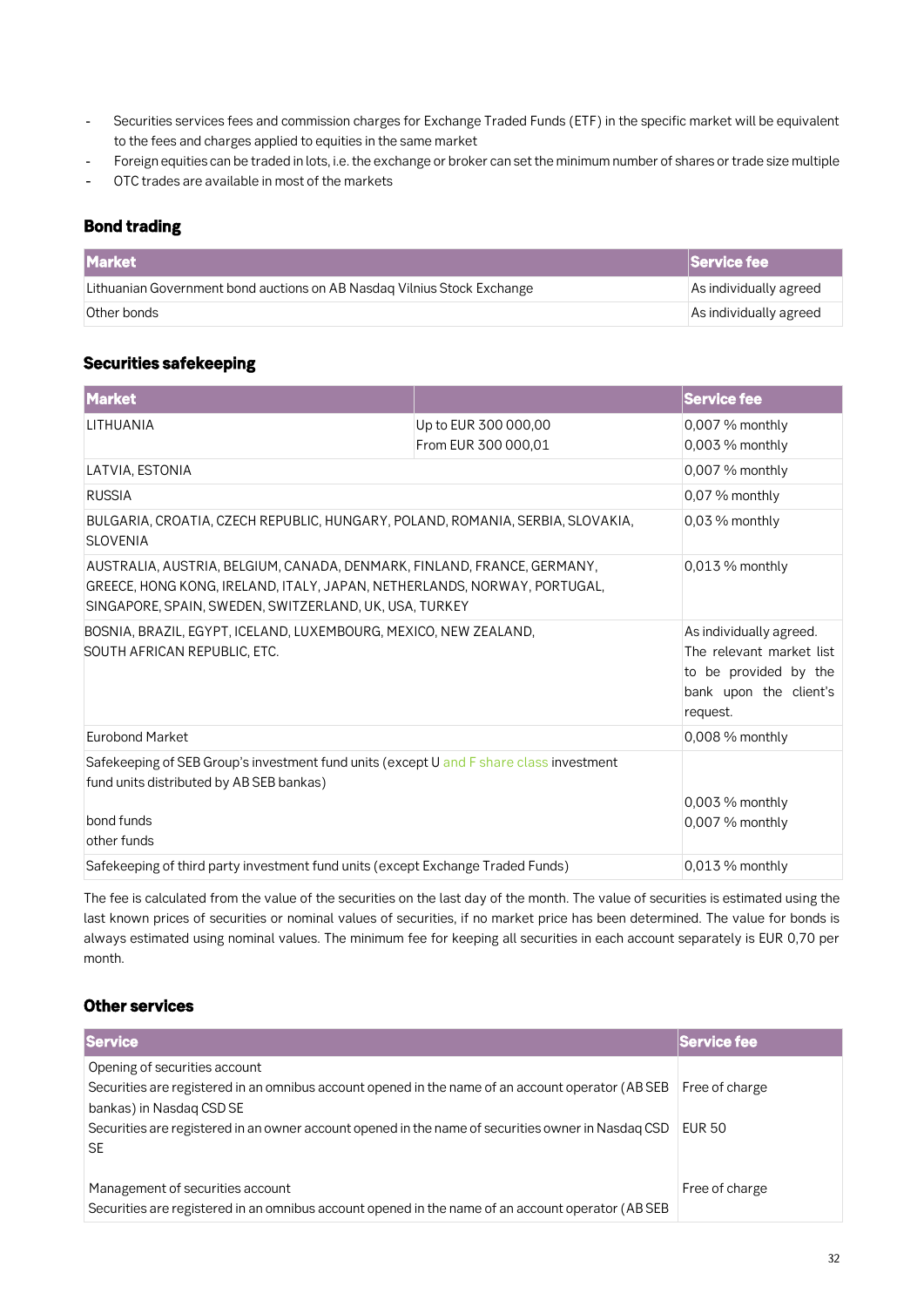- **Securities services fees and commission charges for Exchange Traded Funds (ETF) in the specific market will be equivalent**   $\overline{a}$ **to the fees and charges applied to equities in the same market**
- **Foreign equities can be traded in lots, i.e. the exchange or broker can set the minimum number of shares or trade size multiple**
- **OTC trades are available in most of the markets**

### *Bond trading*

| <b>Market</b>                                                           | Service fee            |
|-------------------------------------------------------------------------|------------------------|
| Lithuanian Government bond auctions on AB Nasdag Vilnius Stock Exchange | As individually agreed |
| Other bonds                                                             | As individually agreed |

### *Securities safekeeping*

| <b>Market</b>                                                                                                                                                                                                 |                                             | <b>Service fee</b>                                                                                                 |
|---------------------------------------------------------------------------------------------------------------------------------------------------------------------------------------------------------------|---------------------------------------------|--------------------------------------------------------------------------------------------------------------------|
| LITHUANIA                                                                                                                                                                                                     | Up to EUR 300 000,00<br>From EUR 300 000,01 | 0,007 % monthly<br>0,003 % monthly                                                                                 |
| LATVIA, ESTONIA                                                                                                                                                                                               |                                             | 0,007 % monthly                                                                                                    |
| <b>RUSSIA</b>                                                                                                                                                                                                 |                                             | 0,07 % monthly                                                                                                     |
| BULGARIA, CROATIA, CZECH REPUBLIC, HUNGARY, POLAND, ROMANIA, SERBIA, SLOVAKIA,<br><b>SLOVENIA</b>                                                                                                             |                                             | $0.03\%$ monthly                                                                                                   |
| AUSTRALIA, AUSTRIA, BELGIUM, CANADA, DENMARK, FINLAND, FRANCE, GERMANY,<br>GREECE, HONG KONG, IRELAND, ITALY, JAPAN, NETHERLANDS, NORWAY, PORTUGAL,<br>SINGAPORE, SPAIN, SWEDEN, SWITZERLAND, UK, USA, TURKEY |                                             | $0.013\%$ monthly                                                                                                  |
| BOSNIA, BRAZIL, EGYPT, ICELAND, LUXEMBOURG, MEXICO, NEW ZEALAND,<br>SOUTH AFRICAN REPUBLIC, ETC.                                                                                                              |                                             | As individually agreed.<br>The relevant market list<br>to be provided by the<br>bank upon the client's<br>request. |
| <b>Eurobond Market</b>                                                                                                                                                                                        |                                             | $0,008\%$ monthly                                                                                                  |
| Safekeeping of SEB Group's investment fund units (except U and F share class investment<br>fund units distributed by AB SEB bankas)<br>bond funds<br>other funds                                              |                                             | $0,003\%$ monthly<br>0,007 % monthly                                                                               |
| Safekeeping of third party investment fund units (except Exchange Traded Funds)                                                                                                                               |                                             | $0,013\%$ monthly                                                                                                  |

**The fee is calculated from the value of the securities on the last day of the month. The value of securities is estimated using the last known prices of securities or nominal values of securities, if no market price has been determined. The value for bonds is always estimated using nominal values. The minimum fee for keeping all securities in each account separately is EUR 0,70 per month.**

### *Other services*

| <b>Service</b>                                                                                     | Service fee    |
|----------------------------------------------------------------------------------------------------|----------------|
| Opening of securities account                                                                      |                |
| Securities are registered in an omnibus account opened in the name of an account operator (AB SEB  | Free of charge |
| bankas) in Nasdag CSD SE                                                                           |                |
| Securities are registered in an owner account opened in the name of securities owner in Nasdag CSD | <b>EUR 50</b>  |
| <b>SE</b>                                                                                          |                |
|                                                                                                    |                |
| Management of securities account                                                                   | Free of charge |
| Securities are registered in an omnibus account opened in the name of an account operator (AB SEB  |                |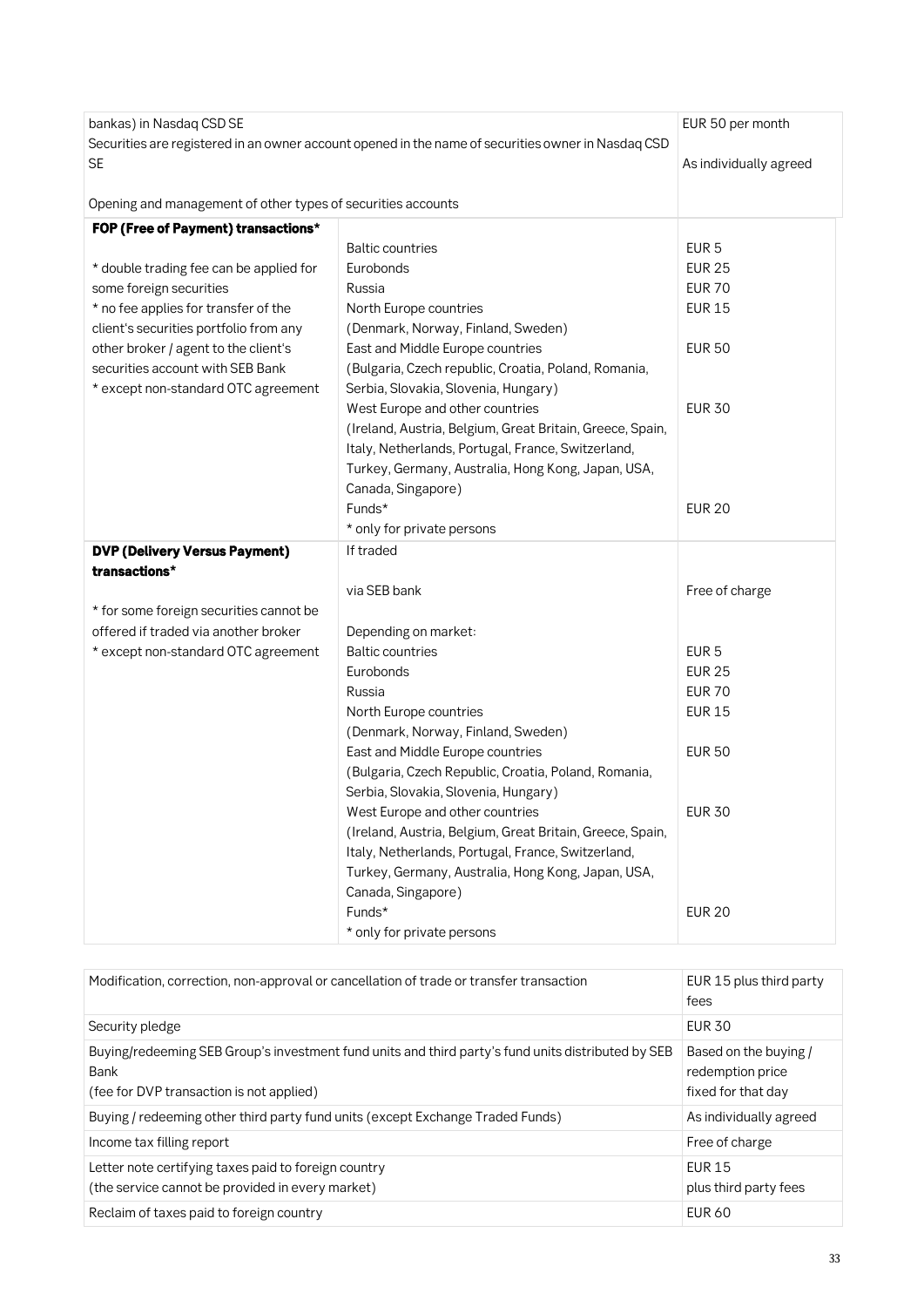| bankas) in Nasdaq CSD SE                                                                           |                                                           | EUR 50 per month       |
|----------------------------------------------------------------------------------------------------|-----------------------------------------------------------|------------------------|
| Securities are registered in an owner account opened in the name of securities owner in Nasdaq CSD |                                                           |                        |
| <b>SE</b>                                                                                          |                                                           | As individually agreed |
| Opening and management of other types of securities accounts                                       |                                                           |                        |
| FOP (Free of Payment) transactions*                                                                |                                                           |                        |
|                                                                                                    | <b>Baltic countries</b>                                   | EUR <sub>5</sub>       |
| * double trading fee can be applied for                                                            | Eurobonds                                                 | <b>EUR 25</b>          |
| some foreign securities                                                                            | Russia                                                    | <b>EUR 70</b>          |
| * no fee applies for transfer of the                                                               | North Europe countries                                    | <b>EUR 15</b>          |
| client's securities portfolio from any                                                             | (Denmark, Norway, Finland, Sweden)                        |                        |
| other broker / agent to the client's                                                               | East and Middle Europe countries                          | <b>EUR 50</b>          |
| securities account with SEB Bank                                                                   | (Bulgaria, Czech republic, Croatia, Poland, Romania,      |                        |
| * except non-standard OTC agreement                                                                | Serbia, Slovakia, Slovenia, Hungary)                      |                        |
|                                                                                                    | West Europe and other countries                           | <b>EUR 30</b>          |
|                                                                                                    | (Ireland, Austria, Belgium, Great Britain, Greece, Spain, |                        |
|                                                                                                    | Italy, Netherlands, Portugal, France, Switzerland,        |                        |
|                                                                                                    | Turkey, Germany, Australia, Hong Kong, Japan, USA,        |                        |
|                                                                                                    | Canada, Singapore)                                        |                        |
|                                                                                                    | Funds*                                                    | <b>EUR 20</b>          |
|                                                                                                    | * only for private persons                                |                        |
| <b>DVP (Delivery Versus Payment)</b>                                                               | If traded                                                 |                        |
| transactions*                                                                                      |                                                           |                        |
|                                                                                                    | via SEB bank                                              | Free of charge         |
| * for some foreign securities cannot be                                                            |                                                           |                        |
| offered if traded via another broker                                                               | Depending on market:                                      |                        |
| * except non-standard OTC agreement                                                                | <b>Baltic countries</b>                                   | EUR <sub>5</sub>       |
|                                                                                                    | Eurobonds                                                 | <b>EUR 25</b>          |
|                                                                                                    | Russia                                                    | <b>EUR 70</b>          |
|                                                                                                    | North Europe countries                                    | <b>EUR 15</b>          |
|                                                                                                    | (Denmark, Norway, Finland, Sweden)                        |                        |
|                                                                                                    | East and Middle Europe countries                          | <b>EUR 50</b>          |
|                                                                                                    | (Bulgaria, Czech Republic, Croatia, Poland, Romania,      |                        |
|                                                                                                    | Serbia, Slovakia, Slovenia, Hungary)                      |                        |
|                                                                                                    | West Europe and other countries                           | <b>EUR 30</b>          |
|                                                                                                    | (Ireland, Austria, Belgium, Great Britain, Greece, Spain, |                        |
|                                                                                                    | Italy, Netherlands, Portugal, France, Switzerland,        |                        |
|                                                                                                    | Turkey, Germany, Australia, Hong Kong, Japan, USA,        |                        |
|                                                                                                    | Canada, Singapore)                                        |                        |
|                                                                                                    | Funds*                                                    | <b>EUR 20</b>          |
|                                                                                                    | * only for private persons                                |                        |

| Modification, correction, non-approval or cancellation of trade or transfer transaction                                                                | EUR 15 plus third party<br>fees                                 |
|--------------------------------------------------------------------------------------------------------------------------------------------------------|-----------------------------------------------------------------|
| Security pledge                                                                                                                                        | <b>EUR 30</b>                                                   |
| Buying/redeeming SEB Group's investment fund units and third party's fund units distributed by SEB<br>Bank<br>(fee for DVP transaction is not applied) | Based on the buying /<br>redemption price<br>fixed for that day |
| Buying / redeeming other third party fund units (except Exchange Traded Funds)                                                                         | As individually agreed                                          |
| Income tax filling report                                                                                                                              | Free of charge                                                  |
| Letter note certifying taxes paid to foreign country<br>(the service cannot be provided in every market)                                               | <b>EUR 15</b><br>plus third party fees                          |
| Reclaim of taxes paid to foreign country                                                                                                               | <b>EUR 60</b>                                                   |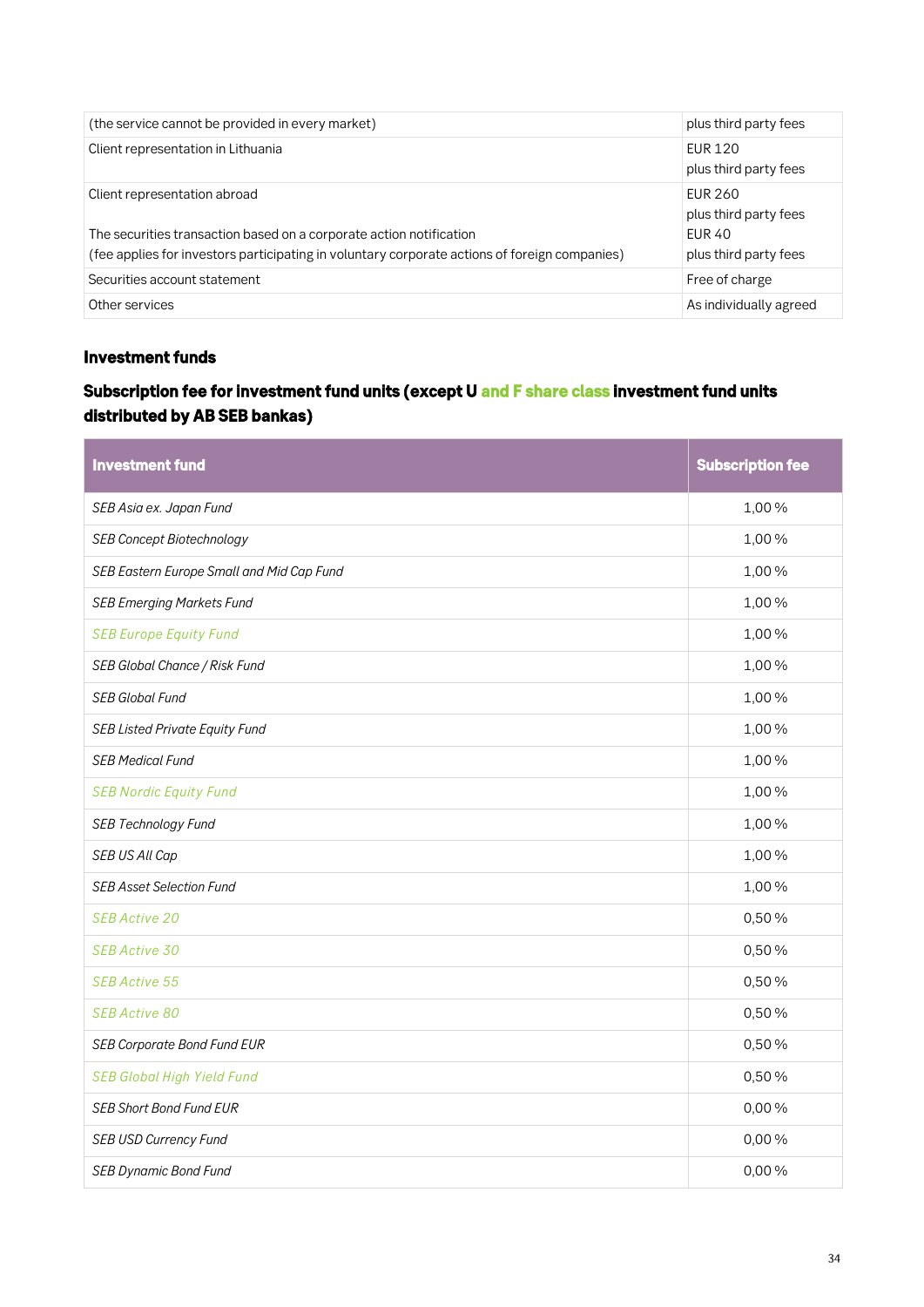| (the service cannot be provided in every market)                                                                                                                                                     | plus third party fees                                                             |
|------------------------------------------------------------------------------------------------------------------------------------------------------------------------------------------------------|-----------------------------------------------------------------------------------|
| Client representation in Lithuania                                                                                                                                                                   | <b>EUR 120</b><br>plus third party fees                                           |
| Client representation abroad<br>The securities transaction based on a corporate action notification<br>(fee applies for investors participating in voluntary corporate actions of foreign companies) | <b>EUR 260</b><br>plus third party fees<br><b>EUR 40</b><br>plus third party fees |
| Securities account statement                                                                                                                                                                         | Free of charge                                                                    |
| Other services                                                                                                                                                                                       | As individually agreed                                                            |

### *Investment funds*

### *Subscription fee for investment fund units (except U and F share class investment fund units distributed by AB SEB bankas)*

| <b>Investment fund</b>                    | <b>Subscription fee</b> |
|-------------------------------------------|-------------------------|
| SEB Asia ex. Japan Fund                   | 1,00%                   |
| <b>SEB Concept Biotechnology</b>          | 1,00%                   |
| SEB Eastern Europe Small and Mid Cap Fund | 1,00%                   |
| <b>SEB Emerging Markets Fund</b>          | 1,00%                   |
| <b>SEB Europe Equity Fund</b>             | 1,00%                   |
| SEB Global Chance / Risk Fund             | 1,00%                   |
| SEB Global Fund                           | 1,00%                   |
| <b>SEB Listed Private Equity Fund</b>     | 1,00%                   |
| <b>SEB Medical Fund</b>                   | 1,00%                   |
| <b>SEB Nordic Equity Fund</b>             | 1,00%                   |
| <b>SEB Technology Fund</b>                | 1,00%                   |
| SEB US All Cap                            | 1,00%                   |
| <b>SEB Asset Selection Fund</b>           | 1,00%                   |
| <b>SEB Active 20</b>                      | 0,50%                   |
| SEB Active 30                             | 0,50%                   |
| <b>SEB Active 55</b>                      | 0,50%                   |
| <b>SEB Active 80</b>                      | 0,50%                   |
| <b>SEB Corporate Bond Fund EUR</b>        | 0,50%                   |
| <b>SEB Global High Yield Fund</b>         | 0,50%                   |
| <b>SEB Short Bond Fund EUR</b>            | 0,00%                   |
| <b>SEB USD Currency Fund</b>              | 0,00%                   |
| <b>SEB Dynamic Bond Fund</b>              | 0,00%                   |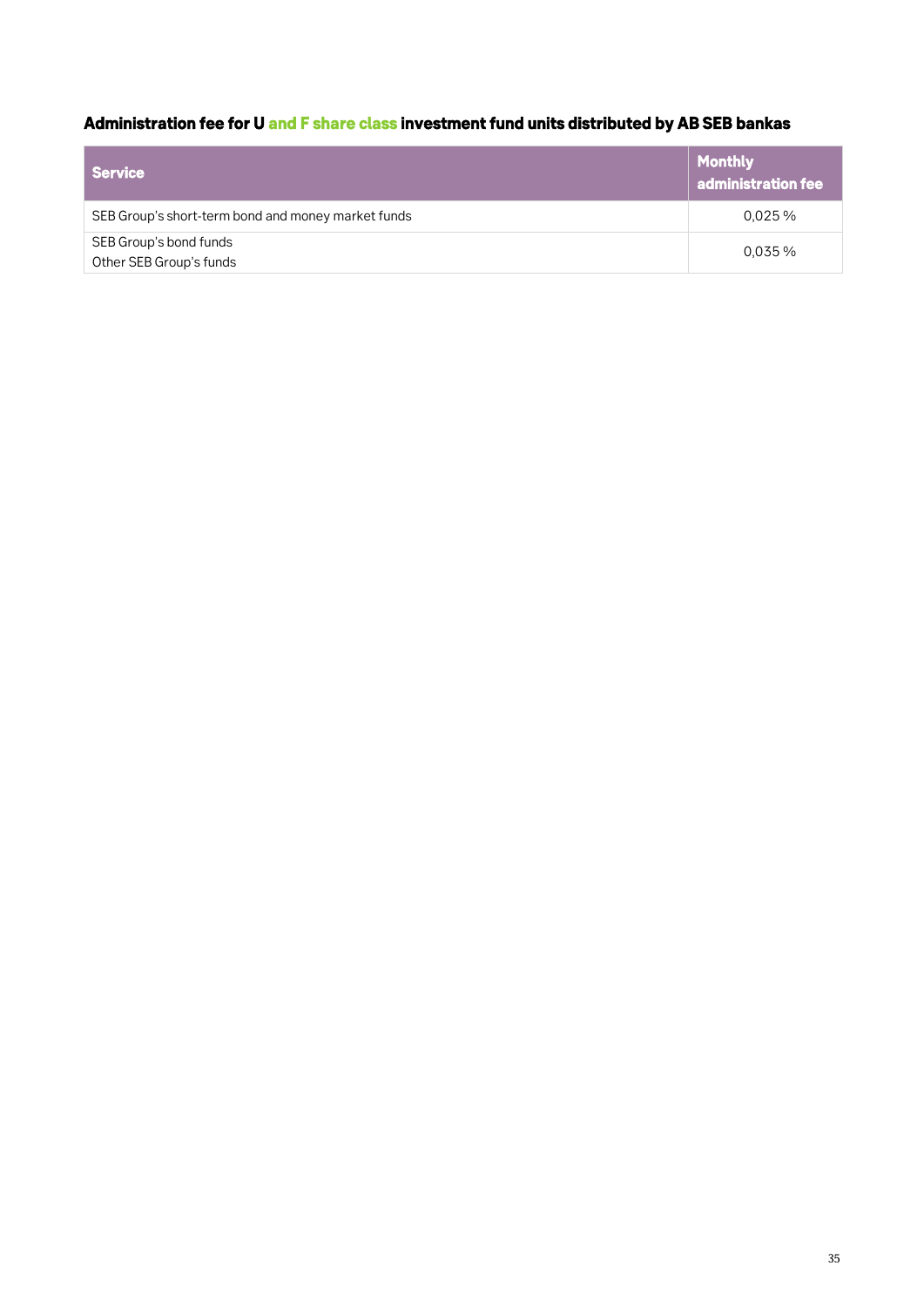# *Administration fee for U and F share class investment fund units distributed by AB SEB bankas*

| <b>Service</b>                                     | Monthly<br>$\parallel$ administration fee |
|----------------------------------------------------|-------------------------------------------|
| SEB Group's short-term bond and money market funds | $0.025\%$                                 |
| SEB Group's bond funds<br>Other SEB Group's funds  | $0.035\%$                                 |